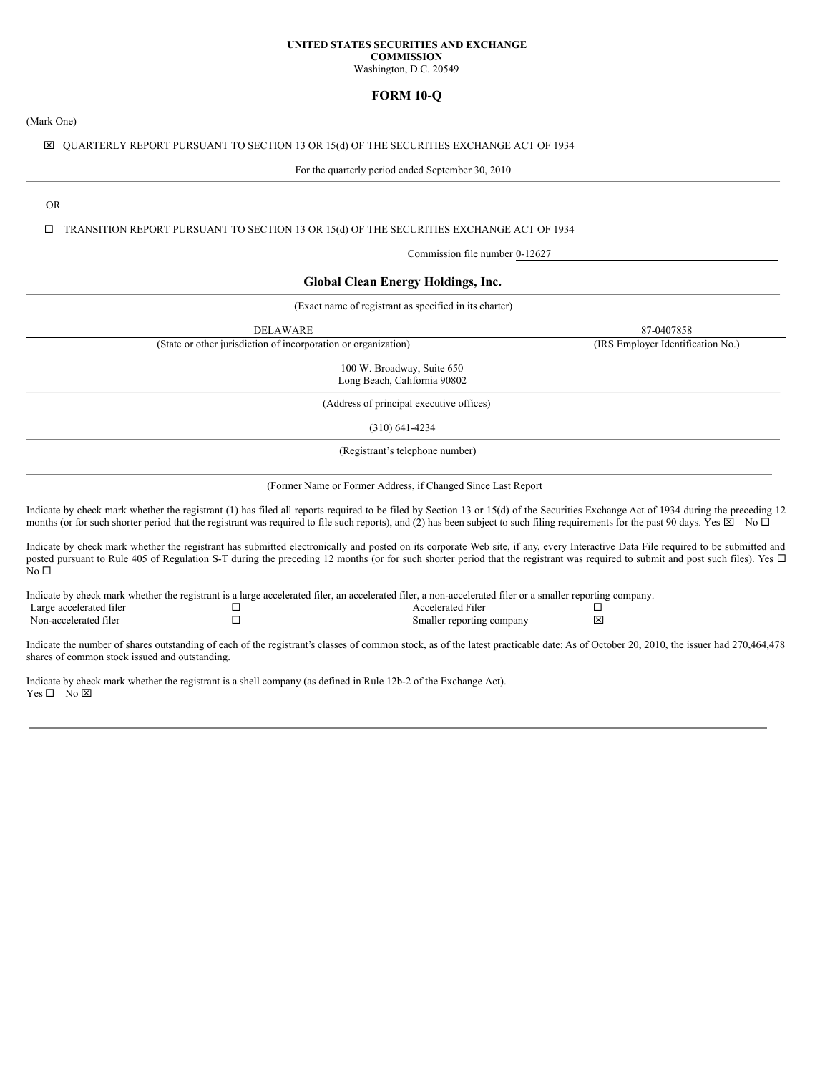# **UNITED STATES SECURITIES AND EXCHANGE**

**COMMISSION** Washington, D.C. 20549

# **FORM 10-Q**

(Mark One)

#### x QUARTERLY REPORT PURSUANT TO SECTION 13 OR 15(d) OF THE SECURITIES EXCHANGE ACT OF 1934

For the quarterly period ended September 30, 2010

OR

 $\square$  TRANSITION REPORT PURSUANT TO SECTION 13 OR 15(d) OF THE SECURITIES EXCHANGE ACT OF 1934

Commission file number 0-12627

# **Global Clean Energy Holdings, Inc.**

| (Exact name of registrant as specified in its charter)                                                                                                                                                                                                                                                                                                                                   |                                   |
|------------------------------------------------------------------------------------------------------------------------------------------------------------------------------------------------------------------------------------------------------------------------------------------------------------------------------------------------------------------------------------------|-----------------------------------|
| <b>DELAWARE</b>                                                                                                                                                                                                                                                                                                                                                                          | 87-0407858                        |
| (State or other jurisdiction of incorporation or organization)                                                                                                                                                                                                                                                                                                                           | (IRS Employer Identification No.) |
| 100 W. Broadway, Suite 650<br>Long Beach, California 90802                                                                                                                                                                                                                                                                                                                               |                                   |
| (Address of principal executive offices)                                                                                                                                                                                                                                                                                                                                                 |                                   |
| $(310)$ 641-4234                                                                                                                                                                                                                                                                                                                                                                         |                                   |
| (Registrant's telephone number)                                                                                                                                                                                                                                                                                                                                                          |                                   |
| (Former Name or Former Address, if Changed Since Last Report)                                                                                                                                                                                                                                                                                                                            |                                   |
| Indicate by check mark whether the registrant (1) has filed all reports required to be filed by Section 13 or 15(d) of the Securities Exchange Act of 1934 during the preceding 12<br>months (or for such shorter period that the registrant was required to file such reports), and (2) has been subject to such filing requirements for the past 90 days. Yes $\boxtimes$ No $\square$ |                                   |
| Indicate by check mark whether the registrant has submitted electronically and posted on its corporate Web site, if any, every Interactive Data File required to be submitted and                                                                                                                                                                                                        |                                   |

posted pursuant to Rule 405 of Regulation S-T during the preceding 12 months (or for such shorter period that the registrant was required to submit and post such files). Yes  $\Box$  $N_0$   $\Box$ 

Indicate by check mark whether the registrant is a large accelerated filer, an accelerated filer, a non-accelerated filer or a smaller reporting company.

| Large accelerated filer | <b>Accelerated Filer</b>  |   |
|-------------------------|---------------------------|---|
| Non-accelerated filer   | Smaller reporting company | ⊠ |

Indicate the number of shares outstanding of each of the registrant's classes of common stock, as of the latest practicable date: As of October 20, 2010, the issuer had 270,464,478 shares of common stock issued and outstanding.

Indicate by check mark whether the registrant is a shell company (as defined in Rule 12b-2 of the Exchange Act).  $Yes \Box No \boxtimes$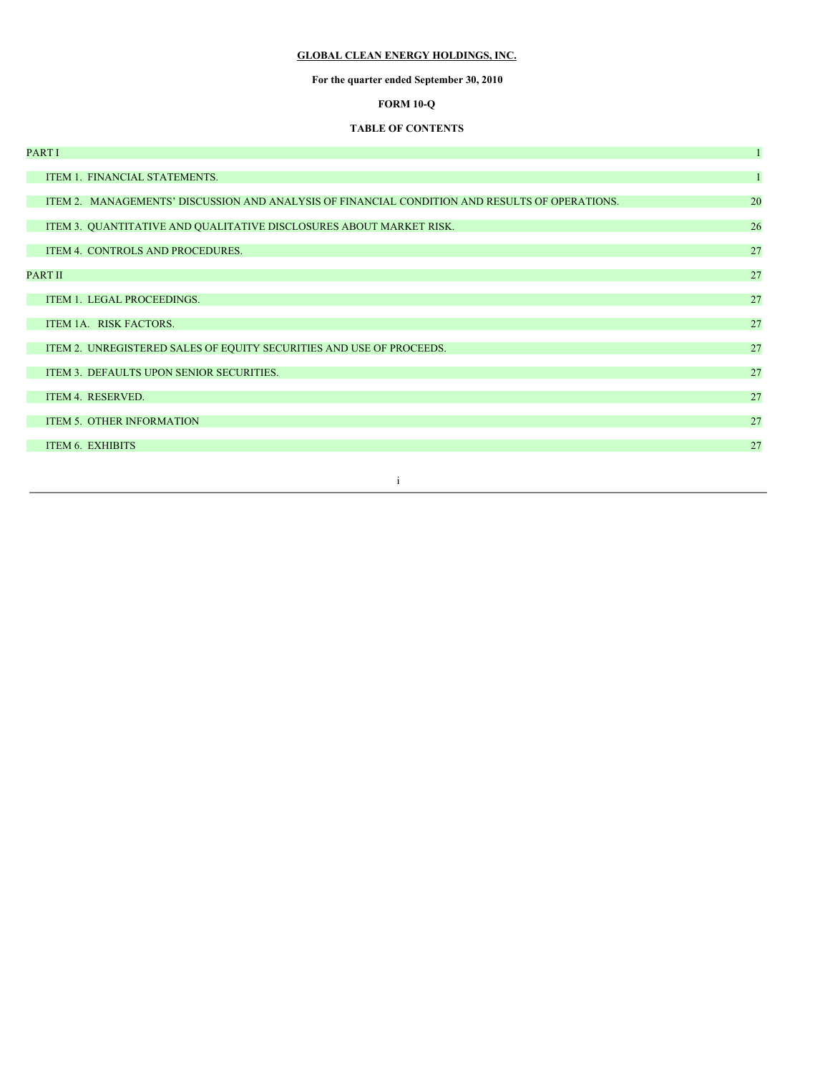# **GLOBAL CLEAN ENERGY HOLDINGS, INC.**

# **For the quarter ended September 30, 2010**

# **FORM 10-Q**

# **TABLE OF CONTENTS**

| PART I                                                                                         | $\mathbf{1}$ |
|------------------------------------------------------------------------------------------------|--------------|
| ITEM 1. FINANCIAL STATEMENTS.                                                                  | $\mathbf{1}$ |
| ITEM 2. MANAGEMENTS' DISCUSSION AND ANALYSIS OF FINANCIAL CONDITION AND RESULTS OF OPERATIONS. | 20           |
| ITEM 3. QUANTITATIVE AND QUALITATIVE DISCLOSURES ABOUT MARKET RISK.                            | 26           |
| ITEM 4. CONTROLS AND PROCEDURES.                                                               | 27           |
| <b>PART II</b>                                                                                 | 27           |
| ITEM 1. LEGAL PROCEEDINGS.                                                                     | 27           |
| ITEM 1A. RISK FACTORS.                                                                         | 27           |
| ITEM 2. UNREGISTERED SALES OF EQUITY SECURITIES AND USE OF PROCEEDS.                           | 27           |
| ITEM 3. DEFAULTS UPON SENIOR SECURITIES.                                                       | 27           |
| ITEM 4. RESERVED.                                                                              | 27           |
| ITEM 5. OTHER INFORMATION                                                                      | 27           |
| <b>ITEM 6. EXHIBITS</b>                                                                        | 27           |
|                                                                                                |              |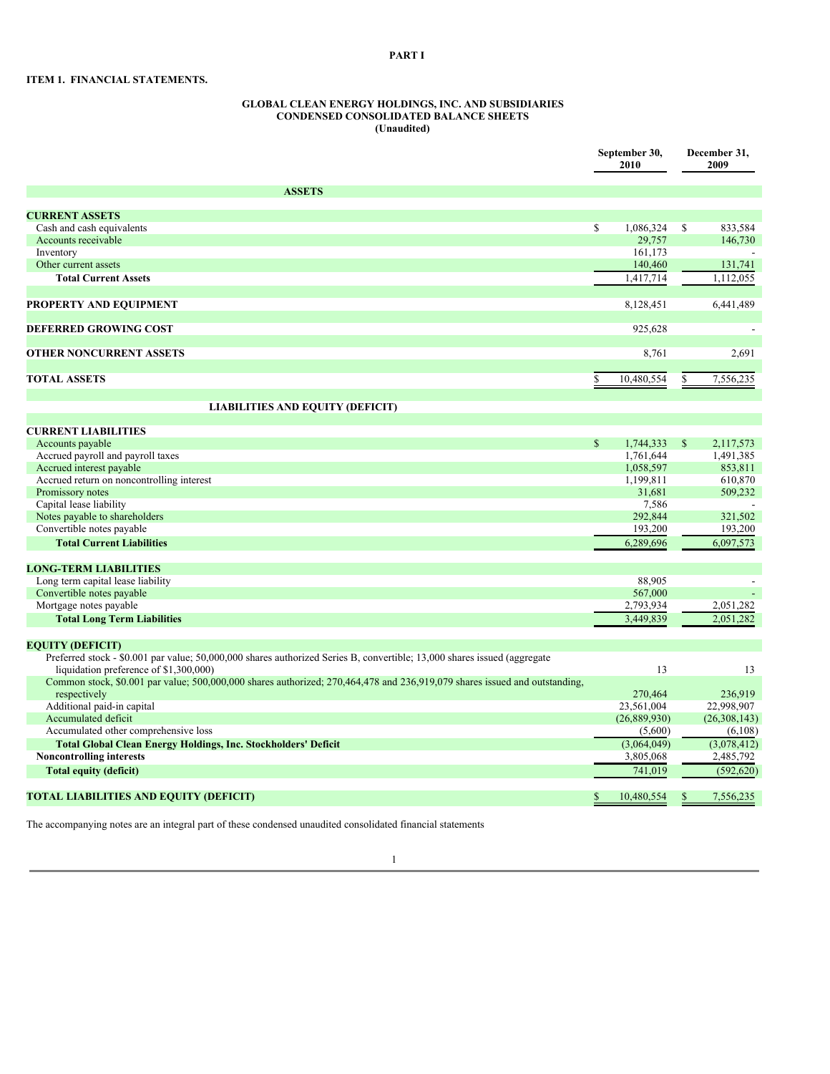# **PART I**

# **ITEM 1. FINANCIAL STATEMENTS.**

#### **GLOBAL CLEAN ENERGY HOLDINGS, INC. AND SUBSIDIARIES CONDENSED CONSOLIDATED BALANCE SHEETS (Unaudited)**

|                                                                                                                                                                    |              | September 30,<br>2010 | December 31,<br>2009 |
|--------------------------------------------------------------------------------------------------------------------------------------------------------------------|--------------|-----------------------|----------------------|
| <b>ASSETS</b>                                                                                                                                                      |              |                       |                      |
|                                                                                                                                                                    |              |                       |                      |
| <b>CURRENT ASSETS</b>                                                                                                                                              |              |                       |                      |
| Cash and cash equivalents                                                                                                                                          | \$           | 1,086,324             | \$<br>833,584        |
| Accounts receivable                                                                                                                                                |              | 29,757                | 146,730              |
| Inventory                                                                                                                                                          |              | 161,173               |                      |
| Other current assets                                                                                                                                               |              | 140,460               | 131,741              |
| <b>Total Current Assets</b>                                                                                                                                        |              | 1,417,714             | 1,112,055            |
| PROPERTY AND EQUIPMENT                                                                                                                                             |              | 8,128,451             | 6,441,489            |
| <b>DEFERRED GROWING COST</b>                                                                                                                                       |              | 925,628               |                      |
|                                                                                                                                                                    |              |                       |                      |
| <b>OTHER NONCURRENT ASSETS</b>                                                                                                                                     |              | 8,761                 | 2,691                |
|                                                                                                                                                                    |              |                       |                      |
| <b>TOTAL ASSETS</b>                                                                                                                                                | \$           | 10,480,554            | \$<br>7,556,235      |
| <b>LIABILITIES AND EQUITY (DEFICIT)</b>                                                                                                                            |              |                       |                      |
|                                                                                                                                                                    |              |                       |                      |
| <b>CURRENT LIABILITIES</b>                                                                                                                                         |              |                       |                      |
| Accounts payable                                                                                                                                                   | $\mathbb{S}$ | 1,744,333             | \$<br>2,117,573      |
| Accrued payroll and payroll taxes                                                                                                                                  |              | 1,761,644             | 1,491,385            |
| Accrued interest payable                                                                                                                                           |              | 1,058,597             | 853,811              |
| Accrued return on noncontrolling interest                                                                                                                          |              | 1,199,811             | 610,870              |
| Promissory notes                                                                                                                                                   |              | 31,681                | 509,232              |
| Capital lease liability                                                                                                                                            |              | 7,586                 |                      |
| Notes payable to shareholders                                                                                                                                      |              | 292,844               | 321,502              |
| Convertible notes payable                                                                                                                                          |              | 193,200               | 193,200              |
| <b>Total Current Liabilities</b>                                                                                                                                   |              | 6,289,696             | 6,097,573            |
| <b>LONG-TERM LIABILITIES</b>                                                                                                                                       |              |                       |                      |
| Long term capital lease liability                                                                                                                                  |              | 88,905                |                      |
| Convertible notes payable                                                                                                                                          |              | 567,000               |                      |
| Mortgage notes payable                                                                                                                                             |              | 2,793,934             | 2,051,282            |
| <b>Total Long Term Liabilities</b>                                                                                                                                 |              | 3,449,839             | 2,051,282            |
|                                                                                                                                                                    |              |                       |                      |
| <b>EQUITY (DEFICIT)</b>                                                                                                                                            |              |                       |                      |
| Preferred stock - \$0.001 par value; 50,000,000 shares authorized Series B, convertible; 13,000 shares issued (aggregate<br>liquidation preference of \$1,300,000) |              | 13                    | 13                   |
| Common stock, \$0.001 par value; 500,000,000 shares authorized; 270,464,478 and 236,919,079 shares issued and outstanding,                                         |              |                       |                      |
| respectively                                                                                                                                                       |              | 270,464               | 236.919              |
| Additional paid-in capital                                                                                                                                         |              | 23,561,004            | 22,998,907           |
| Accumulated deficit                                                                                                                                                |              | (26,889,930)          | (26, 308, 143)       |
| Accumulated other comprehensive loss                                                                                                                               |              | (5,600)               | (6,108)              |
| <b>Total Global Clean Energy Holdings, Inc. Stockholders' Deficit</b>                                                                                              |              | (3,064,049)           | (3,078,412)          |
| <b>Noncontrolling interests</b>                                                                                                                                    |              | 3,805,068             | 2,485,792            |
| <b>Total equity (deficit)</b>                                                                                                                                      |              | 741,019               | (592, 620)           |
|                                                                                                                                                                    |              |                       |                      |
| <b>TOTAL LIABILITIES AND EQUITY (DEFICIT)</b>                                                                                                                      | \$           | 10,480,554            | \$<br>7,556,235      |

The accompanying notes are an integral part of these condensed unaudited consolidated financial statements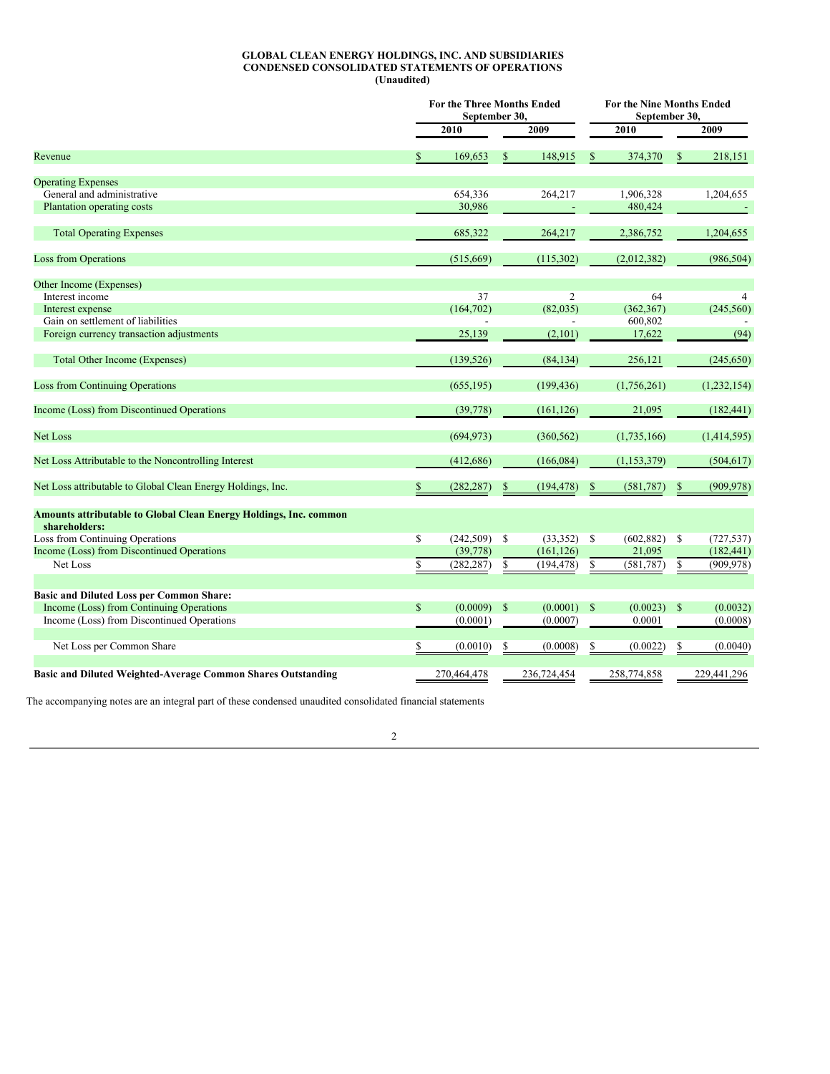#### **GLOBAL CLEAN ENERGY HOLDINGS, INC. AND SUBSIDIARIES CONDENSED CONSOLIDATED STATEMENTS OF OPERATIONS (Unaudited)**

|                                                                                    |              | <b>For the Three Months Ended</b><br>September 30, |             |             | <b>For the Nine Months Ended</b><br>September 30, |               |              |             |
|------------------------------------------------------------------------------------|--------------|----------------------------------------------------|-------------|-------------|---------------------------------------------------|---------------|--------------|-------------|
|                                                                                    |              | 2010                                               |             | 2009        |                                                   | 2010          |              | 2009        |
| Revenue                                                                            |              | 169,653                                            | \$          | 148,915     | \$                                                | 374,370       | \$           | 218,151     |
| <b>Operating Expenses</b>                                                          |              |                                                    |             |             |                                                   |               |              |             |
| General and administrative                                                         |              | 654,336                                            |             | 264,217     |                                                   | 1,906,328     |              | 1,204,655   |
| Plantation operating costs                                                         |              | 30,986                                             |             |             |                                                   | 480,424       |              |             |
| <b>Total Operating Expenses</b>                                                    |              | 685,322                                            |             | 264,217     |                                                   | 2,386,752     |              | 1,204,655   |
| <b>Loss from Operations</b>                                                        |              | (515,669)                                          |             | (115,302)   |                                                   | (2,012,382)   |              | (986, 504)  |
| Other Income (Expenses)                                                            |              |                                                    |             |             |                                                   |               |              |             |
| Interest income                                                                    |              | 37                                                 |             | 2           |                                                   | 64            |              |             |
| Interest expense                                                                   |              | (164, 702)                                         |             | (82,035)    |                                                   | (362, 367)    |              | (245,560)   |
| Gain on settlement of liabilities                                                  |              |                                                    |             |             |                                                   | 600,802       |              |             |
| Foreign currency transaction adjustments                                           |              | 25,139                                             |             | (2,101)     |                                                   | 17,622        |              | (94)        |
| <b>Total Other Income (Expenses)</b>                                               |              | (139, 526)                                         |             | (84, 134)   |                                                   | 256,121       |              | (245, 650)  |
| <b>Loss from Continuing Operations</b>                                             |              | (655, 195)                                         |             | (199, 436)  |                                                   | (1,756,261)   |              | (1,232,154) |
| Income (Loss) from Discontinued Operations                                         |              | (39,778)                                           |             | (161, 126)  |                                                   | 21,095        |              | (182, 441)  |
| <b>Net Loss</b>                                                                    |              | (694, 973)                                         |             | (360, 562)  |                                                   | (1,735,166)   |              | (1,414,595) |
| Net Loss Attributable to the Noncontrolling Interest                               |              | (412, 686)                                         |             | (166, 084)  |                                                   | (1, 153, 379) |              | (504, 617)  |
| Net Loss attributable to Global Clean Energy Holdings, Inc.                        | \$           | (282, 287)                                         | \$          | (194, 478)  | \$                                                | (581, 787)    | S            | (909, 978)  |
| Amounts attributable to Global Clean Energy Holdings, Inc. common<br>shareholders: |              |                                                    |             |             |                                                   |               |              |             |
| Loss from Continuing Operations                                                    | \$           | (242, 509)                                         | - \$        | (33,352)    | -S                                                | (602, 882)    | S.           | (727, 537)  |
| Income (Loss) from Discontinued Operations                                         |              | (39,778)                                           |             | (161, 126)  |                                                   | 21,095        |              | (182, 441)  |
| Net Loss                                                                           | \$           | (282, 287)                                         | \$          | (194, 478)  | \$                                                | (581, 787)    | $\mathbb{S}$ | (909, 978)  |
| <b>Basic and Diluted Loss per Common Share:</b>                                    |              |                                                    |             |             |                                                   |               |              |             |
| Income (Loss) from Continuing Operations                                           | $\mathbb{S}$ | (0.0009)                                           | $\mathbf S$ | (0.0001)    | $\mathbb{S}$                                      | (0.0023)      | $\mathbf S$  | (0.0032)    |
| Income (Loss) from Discontinued Operations                                         |              | (0.0001)                                           |             | (0.0007)    |                                                   | 0.0001        |              | (0.0008)    |
| Net Loss per Common Share                                                          |              | (0.0010)                                           | S           | (0.0008)    | \$                                                | (0.0022)      | S            | (0.0040)    |
|                                                                                    |              |                                                    |             |             |                                                   |               |              |             |
| Basic and Diluted Weighted-Average Common Shares Outstanding                       |              | 270,464,478                                        |             | 236,724,454 |                                                   | 258,774,858   |              | 229,441,296 |

The accompanying notes are an integral part of these condensed unaudited consolidated financial statements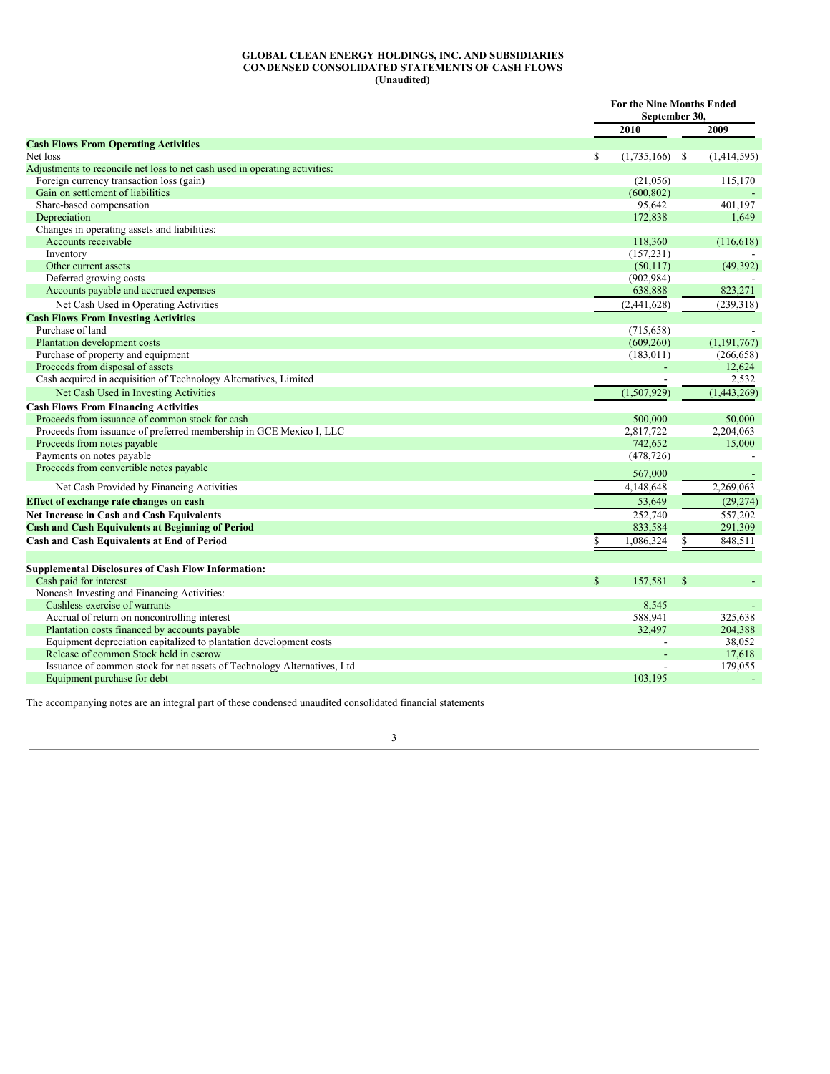#### **GLOBAL CLEAN ENERGY HOLDINGS, INC. AND SUBSIDIARIES CONDENSED CONSOLIDATED STATEMENTS OF CASH FLOWS (Unaudited)**

|                                                                             |                         | <b>For the Nine Months Ended</b><br>September 30, |               |  |
|-----------------------------------------------------------------------------|-------------------------|---------------------------------------------------|---------------|--|
|                                                                             | 2010                    |                                                   | 2009          |  |
| <b>Cash Flows From Operating Activities</b>                                 |                         |                                                   |               |  |
| Net loss                                                                    | \$<br>$(1,735,166)$ \$  |                                                   | (1,414,595)   |  |
| Adjustments to reconcile net loss to net cash used in operating activities: |                         |                                                   |               |  |
| Foreign currency transaction loss (gain)                                    | (21,056)                |                                                   | 115,170       |  |
| Gain on settlement of liabilities                                           | (600, 802)              |                                                   |               |  |
| Share-based compensation                                                    | 95,642                  |                                                   | 401,197       |  |
| Depreciation                                                                | 172,838                 |                                                   | 1,649         |  |
| Changes in operating assets and liabilities:                                |                         |                                                   |               |  |
| Accounts receivable                                                         | 118,360                 |                                                   | (116,618)     |  |
| Inventory                                                                   | (157, 231)              |                                                   |               |  |
| Other current assets                                                        | (50, 117)               |                                                   | (49, 392)     |  |
| Deferred growing costs                                                      | (902, 984)              |                                                   |               |  |
| Accounts payable and accrued expenses                                       | 638,888                 |                                                   | 823,271       |  |
| Net Cash Used in Operating Activities                                       | (2,441,628)             |                                                   | (239,318)     |  |
| <b>Cash Flows From Investing Activities</b>                                 |                         |                                                   |               |  |
| Purchase of land                                                            | (715, 658)              |                                                   |               |  |
| Plantation development costs                                                | (609, 260)              |                                                   | (1, 191, 767) |  |
| Purchase of property and equipment                                          | (183, 011)              |                                                   | (266, 658)    |  |
| Proceeds from disposal of assets                                            |                         |                                                   | 12,624        |  |
| Cash acquired in acquisition of Technology Alternatives, Limited            |                         |                                                   | 2,532         |  |
| Net Cash Used in Investing Activities                                       | (1,507,929)             |                                                   | (1,443,269)   |  |
| <b>Cash Flows From Financing Activities</b>                                 |                         |                                                   |               |  |
| Proceeds from issuance of common stock for cash                             |                         |                                                   | 50.000        |  |
| Proceeds from issuance of preferred membership in GCE Mexico I, LLC         | 500,000                 |                                                   |               |  |
| Proceeds from notes payable                                                 | 2,817,722<br>742,652    |                                                   | 2,204,063     |  |
| Payments on notes payable                                                   |                         |                                                   | 15,000        |  |
|                                                                             | (478, 726)              |                                                   |               |  |
| Proceeds from convertible notes payable                                     | 567,000                 |                                                   |               |  |
| Net Cash Provided by Financing Activities                                   | 4,148,648               |                                                   | 2,269,063     |  |
| Effect of exchange rate changes on cash                                     | 53,649                  |                                                   | (29, 274)     |  |
| Net Increase in Cash and Cash Equivalents                                   | 252,740                 |                                                   | 557,202       |  |
| <b>Cash and Cash Equivalents at Beginning of Period</b>                     | 833,584                 |                                                   | 291,309       |  |
| Cash and Cash Equivalents at End of Period                                  | \$<br>1,086,324         | \$                                                | 848,511       |  |
|                                                                             |                         |                                                   |               |  |
| <b>Supplemental Disclosures of Cash Flow Information:</b>                   |                         |                                                   |               |  |
| Cash paid for interest                                                      | $\mathbb{S}$<br>157,581 | $\mathcal{S}$                                     |               |  |
| Noncash Investing and Financing Activities:                                 |                         |                                                   |               |  |
| Cashless exercise of warrants                                               | 8,545                   |                                                   |               |  |
| Accrual of return on noncontrolling interest                                | 588,941                 |                                                   | 325,638       |  |
| Plantation costs financed by accounts payable                               | 32,497                  |                                                   | 204,388       |  |
| Equipment depreciation capitalized to plantation development costs          | L.                      |                                                   | 38,052        |  |
| Release of common Stock held in escrow                                      |                         |                                                   | 17,618        |  |
| Issuance of common stock for net assets of Technology Alternatives, Ltd     |                         |                                                   | 179,055       |  |
| Equipment purchase for debt                                                 | 103.195                 |                                                   |               |  |

The accompanying notes are an integral part of these condensed unaudited consolidated financial statements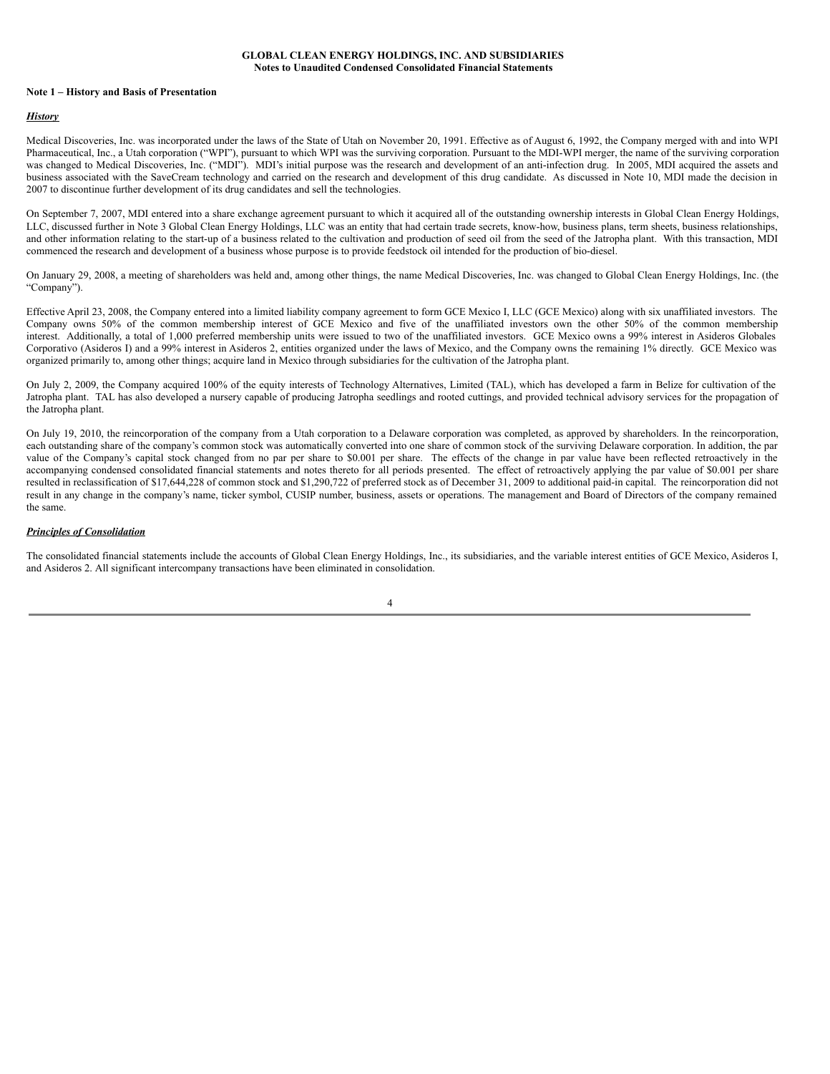#### **Note 1 – History and Basis of Presentation**

#### *History*

Medical Discoveries, Inc. was incorporated under the laws of the State of Utah on November 20, 1991. Effective as of August 6, 1992, the Company merged with and into WPI Pharmaceutical, Inc., a Utah corporation ("WPI"), pursuant to which WPI was the surviving corporation. Pursuant to the MDI-WPI merger, the name of the surviving corporation was changed to Medical Discoveries, Inc. ("MDI"). MDI's initial purpose was the research and development of an anti-infection drug. In 2005, MDI acquired the assets and business associated with the SaveCream technology and carried on the research and development of this drug candidate. As discussed in Note 10, MDI made the decision in 2007 to discontinue further development of its drug candidates and sell the technologies.

On September 7, 2007, MDI entered into a share exchange agreement pursuant to which it acquired all of the outstanding ownership interests in Global Clean Energy Holdings, LLC, discussed further in Note 3 Global Clean Energy Holdings, LLC was an entity that had certain trade secrets, know-how, business plans, term sheets, business relationships, and other information relating to the start-up of a business related to the cultivation and production of seed oil from the seed of the Jatropha plant. With this transaction, MDI commenced the research and development of a business whose purpose is to provide feedstock oil intended for the production of bio-diesel.

On January 29, 2008, a meeting of shareholders was held and, among other things, the name Medical Discoveries, Inc. was changed to Global Clean Energy Holdings, Inc. (the "Company").

Effective April 23, 2008, the Company entered into a limited liability company agreement to form GCE Mexico I, LLC (GCE Mexico) along with six unaffiliated investors. The Company owns 50% of the common membership interest of GCE Mexico and five of the unaffiliated investors own the other 50% of the common membership interest. Additionally, a total of 1,000 preferred membership units were issued to two of the unaffiliated investors. GCE Mexico owns a 99% interest in Asideros Globales Corporativo (Asideros I) and a 99% interest in Asideros 2, entities organized under the laws of Mexico, and the Company owns the remaining 1% directly. GCE Mexico was organized primarily to, among other things; acquire land in Mexico through subsidiaries for the cultivation of the Jatropha plant.

On July 2, 2009, the Company acquired 100% of the equity interests of Technology Alternatives, Limited (TAL), which has developed a farm in Belize for cultivation of the Jatropha plant. TAL has also developed a nursery capable of producing Jatropha seedlings and rooted cuttings, and provided technical advisory services for the propagation of the Jatropha plant.

On July 19, 2010, the reincorporation of the company from a Utah corporation to a Delaware corporation was completed, as approved by shareholders. In the reincorporation, each outstanding share of the company's common stock was automatically converted into one share of common stock of the surviving Delaware corporation. In addition, the par value of the Company's capital stock changed from no par per share to \$0.001 per share. The effects of the change in par value have been reflected retroactively in the accompanying condensed consolidated financial statements and notes thereto for all periods presented. The effect of retroactively applying the par value of \$0.001 per share resulted in reclassification of \$17,644,228 of common stock and \$1,290,722 of preferred stock as of December 31, 2009 to additional paid-in capital. The reincorporation did not result in any change in the company's name, ticker symbol, CUSIP number, business, assets or operations. The management and Board of Directors of the company remained the same.

## *Principles of Consolidation*

The consolidated financial statements include the accounts of Global Clean Energy Holdings, Inc., its subsidiaries, and the variable interest entities of GCE Mexico, Asideros I, and Asideros 2. All significant intercompany transactions have been eliminated in consolidation.

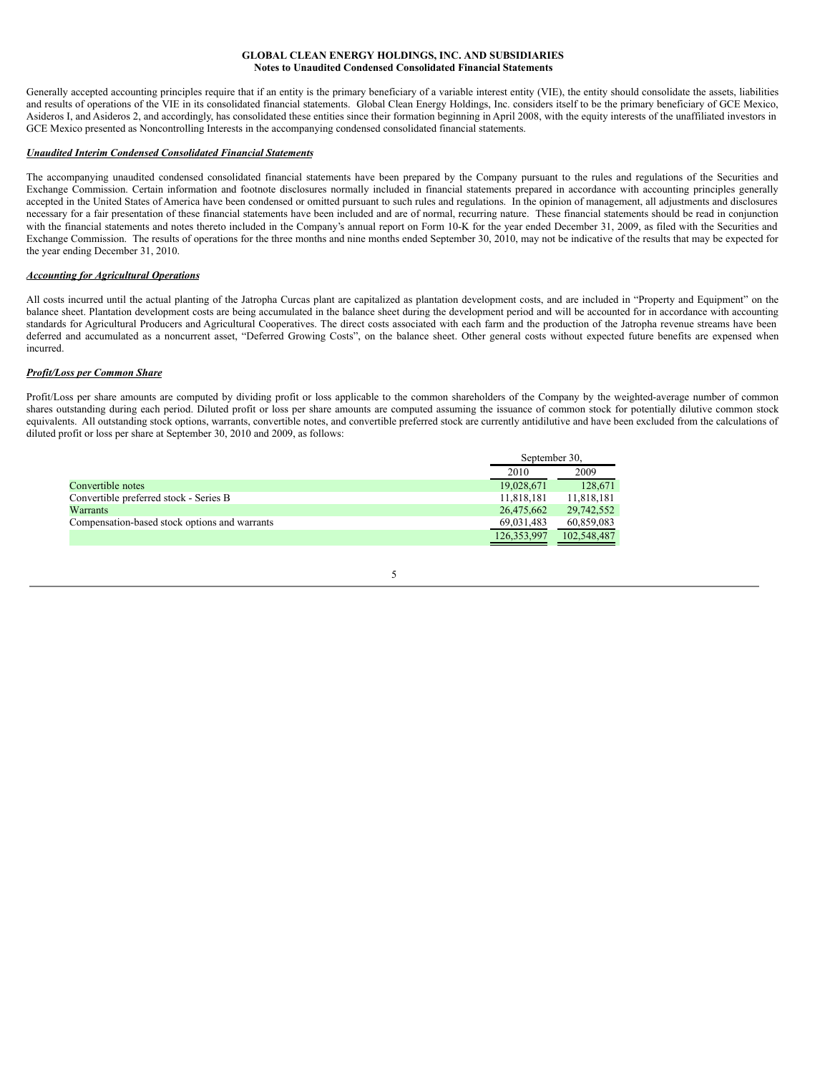Generally accepted accounting principles require that if an entity is the primary beneficiary of a variable interest entity (VIE), the entity should consolidate the assets, liabilities and results of operations of the VIE in its consolidated financial statements. Global Clean Energy Holdings, Inc. considers itself to be the primary beneficiary of GCE Mexico, Asideros I, and Asideros 2, and accordingly, has consolidated these entities since their formation beginning in April 2008, with the equity interests of the unaffiliated investors in GCE Mexico presented as Noncontrolling Interests in the accompanying condensed consolidated financial statements.

#### *Unaudited Interim Condensed Consolidated Financial Statements*

The accompanying unaudited condensed consolidated financial statements have been prepared by the Company pursuant to the rules and regulations of the Securities and Exchange Commission. Certain information and footnote disclosures normally included in financial statements prepared in accordance with accounting principles generally accepted in the United States of America have been condensed or omitted pursuant to such rules and regulations. In the opinion of management, all adjustments and disclosures necessary for a fair presentation of these financial statements have been included and are of normal, recurring nature. These financial statements should be read in conjunction with the financial statements and notes thereto included in the Company's annual report on Form 10-K for the year ended December 31, 2009, as filed with the Securities and Exchange Commission. The results of operations for the three months and nine months ended September 30, 2010, may not be indicative of the results that may be expected for the year ending December 31, 2010.

#### *Accounting for Agricultural Operations*

All costs incurred until the actual planting of the Jatropha Curcas plant are capitalized as plantation development costs, and are included in "Property and Equipment" on the balance sheet. Plantation development costs are being accumulated in the balance sheet during the development period and will be accounted for in accordance with accounting standards for Agricultural Producers and Agricultural Cooperatives. The direct costs associated with each farm and the production of the Jatropha revenue streams have been deferred and accumulated as a noncurrent asset, "Deferred Growing Costs", on the balance sheet. Other general costs without expected future benefits are expensed when incurred.

#### *Profit/Loss per Common Share*

Profit/Loss per share amounts are computed by dividing profit or loss applicable to the common shareholders of the Company by the weighted-average number of common shares outstanding during each period. Diluted profit or loss per share amounts are computed assuming the issuance of common stock for potentially dilutive common stock equivalents. All outstanding stock options, warrants, convertible notes, and convertible preferred stock are currently antidilutive and have been excluded from the calculations of diluted profit or loss per share at September 30, 2010 and 2009, as follows:

|                                               | September 30. |             |
|-----------------------------------------------|---------------|-------------|
|                                               | 2010          | 2009        |
| Convertible notes                             | 19,028,671    | 128,671     |
| Convertible preferred stock - Series B        | 11,818,181    | 11,818,181  |
| Warrants                                      | 26,475,662    | 29,742,552  |
| Compensation-based stock options and warrants | 69,031,483    | 60,859,083  |
|                                               | 126, 353, 997 | 102,548,487 |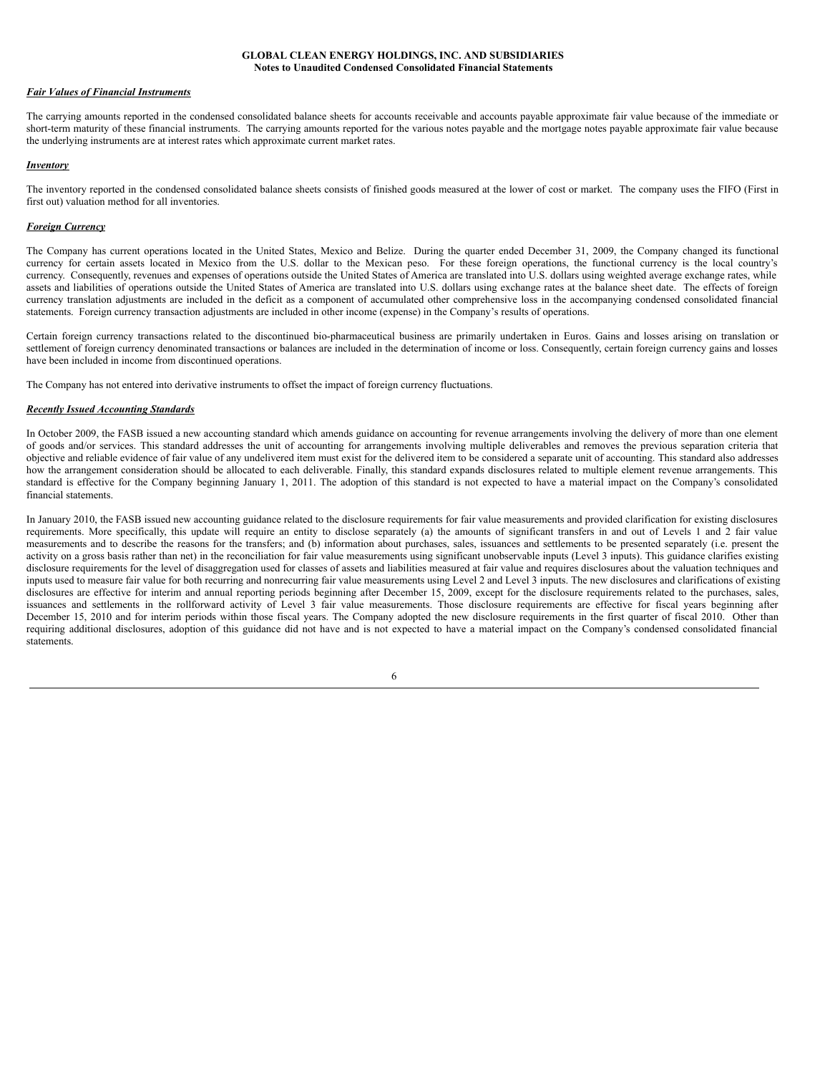#### *Fair Values of Financial Instruments*

The carrying amounts reported in the condensed consolidated balance sheets for accounts receivable and accounts payable approximate fair value because of the immediate or short-term maturity of these financial instruments. The carrying amounts reported for the various notes payable and the mortgage notes payable approximate fair value because the underlying instruments are at interest rates which approximate current market rates.

#### *Inventory*

The inventory reported in the condensed consolidated balance sheets consists of finished goods measured at the lower of cost or market. The company uses the FIFO (First in first out) valuation method for all inventories.

#### *Foreign Currency*

The Company has current operations located in the United States, Mexico and Belize. During the quarter ended December 31, 2009, the Company changed its functional currency for certain assets located in Mexico from the U.S. dollar to the Mexican peso. For these foreign operations, the functional currency is the local country's currency. Consequently, revenues and expenses of operations outside the United States of America are translated into U.S. dollars using weighted average exchange rates, while assets and liabilities of operations outside the United States of America are translated into U.S. dollars using exchange rates at the balance sheet date. The effects of foreign currency translation adjustments are included in the deficit as a component of accumulated other comprehensive loss in the accompanying condensed consolidated financial statements. Foreign currency transaction adjustments are included in other income (expense) in the Company's results of operations.

Certain foreign currency transactions related to the discontinued bio-pharmaceutical business are primarily undertaken in Euros. Gains and losses arising on translation or settlement of foreign currency denominated transactions or balances are included in the determination of income or loss. Consequently, certain foreign currency gains and losses have been included in income from discontinued operations.

The Company has not entered into derivative instruments to offset the impact of foreign currency fluctuations.

#### *Recently Issued Accounting Standards*

In October 2009, the FASB issued a new accounting standard which amends guidance on accounting for revenue arrangements involving the delivery of more than one element of goods and/or services. This standard addresses the unit of accounting for arrangements involving multiple deliverables and removes the previous separation criteria that objective and reliable evidence of fair value of any undelivered item must exist for the delivered item to be considered a separate unit of accounting. This standard also addresses how the arrangement consideration should be allocated to each deliverable. Finally, this standard expands disclosures related to multiple element revenue arrangements. This standard is effective for the Company beginning January 1, 2011. The adoption of this standard is not expected to have a material impact on the Company's consolidated financial statements.

In January 2010, the FASB issued new accounting guidance related to the disclosure requirements for fair value measurements and provided clarification for existing disclosures requirements. More specifically, this update will require an entity to disclose separately (a) the amounts of significant transfers in and out of Levels 1 and 2 fair value measurements and to describe the reasons for the transfers; and (b) information about purchases, sales, issuances and settlements to be presented separately (i.e. present the activity on a gross basis rather than net) in the reconciliation for fair value measurements using significant unobservable inputs (Level 3 inputs). This guidance clarifies existing disclosure requirements for the level of disaggregation used for classes of assets and liabilities measured at fair value and requires disclosures about the valuation techniques and inputs used to measure fair value for both recurring and nonrecurring fair value measurements using Level 2 and Level 3 inputs. The new disclosures and clarifications of existing disclosures are effective for interim and annual reporting periods beginning after December 15, 2009, except for the disclosure requirements related to the purchases, sales, issuances and settlements in the rollforward activity of Level 3 fair value measurements. Those disclosure requirements are effective for fiscal years beginning after December 15, 2010 and for interim periods within those fiscal years. The Company adopted the new disclosure requirements in the first quarter of fiscal 2010. Other than requiring additional disclosures, adoption of this guidance did not have and is not expected to have a material impact on the Company's condensed consolidated financial statements.

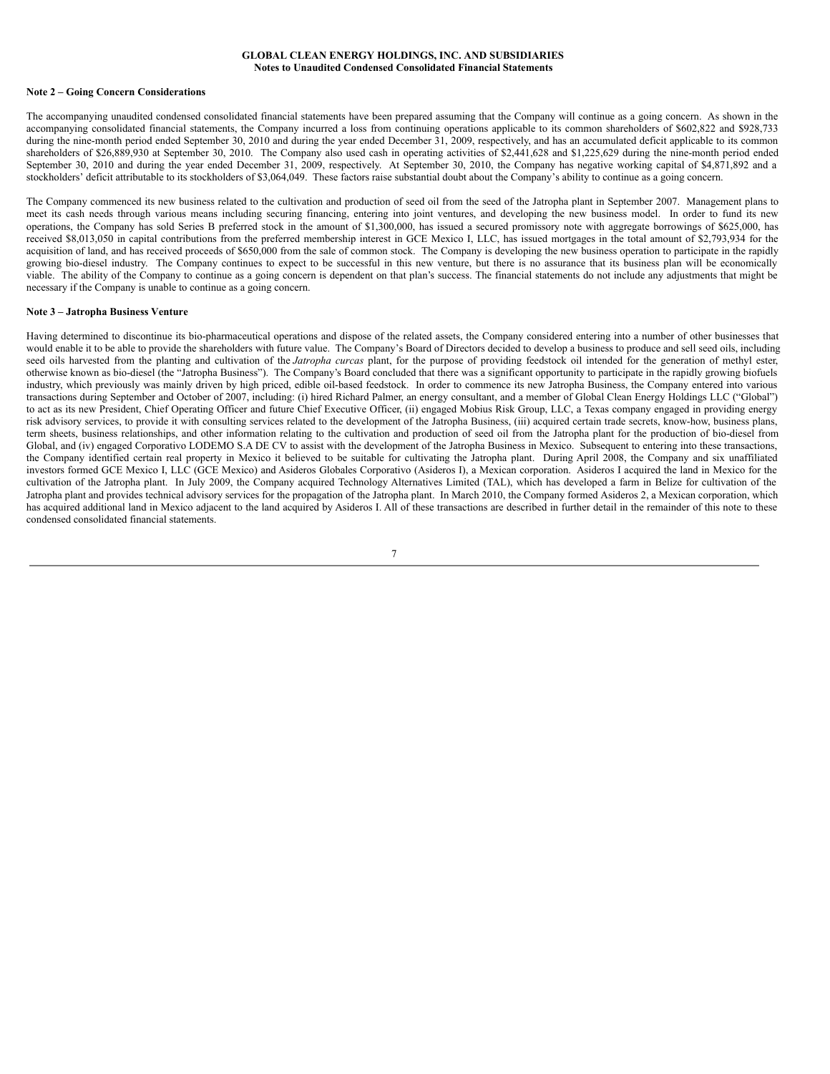#### **Note 2 – Going Concern Considerations**

The accompanying unaudited condensed consolidated financial statements have been prepared assuming that the Company will continue as a going concern. As shown in the accompanying consolidated financial statements, the Company incurred a loss from continuing operations applicable to its common shareholders of \$602,822 and \$928,733 during the nine-month period ended September 30, 2010 and during the year ended December 31, 2009, respectively, and has an accumulated deficit applicable to its common shareholders of \$26,889,930 at September 30, 2010. The Company also used cash in operating activities of \$2,441,628 and \$1,225,629 during the nine-month period ended September 30, 2010 and during the year ended December 31, 2009, respectively. At September 30, 2010, the Company has negative working capital of \$4,871,892 and a stockholders' deficit attributable to its stockholders of \$3,064,049. These factors raise substantial doubt about the Company's ability to continue as a going concern.

The Company commenced its new business related to the cultivation and production of seed oil from the seed of the Jatropha plant in September 2007. Management plans to meet its cash needs through various means including securing financing, entering into joint ventures, and developing the new business model. In order to fund its new operations, the Company has sold Series B preferred stock in the amount of \$1,300,000, has issued a secured promissory note with aggregate borrowings of \$625,000, has received \$8,013,050 in capital contributions from the preferred membership interest in GCE Mexico I, LLC, has issued mortgages in the total amount of \$2,793,934 for the acquisition of land, and has received proceeds of \$650,000 from the sale of common stock. The Company is developing the new business operation to participate in the rapidly growing bio-diesel industry. The Company continues to expect to be successful in this new venture, but there is no assurance that its business plan will be economically viable. The ability of the Company to continue as a going concern is dependent on that plan's success. The financial statements do not include any adjustments that might be necessary if the Company is unable to continue as a going concern.

## **Note 3 – Jatropha Business Venture**

Having determined to discontinue its bio-pharmaceutical operations and dispose of the related assets, the Company considered entering into a number of other businesses that would enable it to be able to provide the shareholders with future value. The Company's Board of Directors decided to develop a business to produce and sell seed oils, including seed oils harvested from the planting and cultivation of the *Jatropha curcas* plant, for the purpose of providing feedstock oil intended for the generation of methyl ester, otherwise known as bio-diesel (the "Jatropha Business"). The Company's Board concluded that there was a significant opportunity to participate in the rapidly growing biofuels industry, which previously was mainly driven by high priced, edible oil-based feedstock. In order to commence its new Jatropha Business, the Company entered into various transactions during September and October of 2007, including: (i) hired Richard Palmer, an energy consultant, and a member of Global Clean Energy Holdings LLC ("Global") to act as its new President, Chief Operating Officer and future Chief Executive Officer, (ii) engaged Mobius Risk Group, LLC, a Texas company engaged in providing energy risk advisory services, to provide it with consulting services related to the development of the Jatropha Business, (iii) acquired certain trade secrets, know-how, business plans, term sheets, business relationships, and other information relating to the cultivation and production of seed oil from the Jatropha plant for the production of bio-diesel from Global, and (iv) engaged Corporativo LODEMO S.A DE CV to assist with the development of the Jatropha Business in Mexico. Subsequent to entering into these transactions, the Company identified certain real property in Mexico it believed to be suitable for cultivating the Jatropha plant. During April 2008, the Company and six unaffiliated investors formed GCE Mexico I, LLC (GCE Mexico) and Asideros Globales Corporativo (Asideros I), a Mexican corporation. Asideros I acquired the land in Mexico for the cultivation of the Jatropha plant. In July 2009, the Company acquired Technology Alternatives Limited (TAL), which has developed a farm in Belize for cultivation of the Jatropha plant and provides technical advisory services for the propagation of the Jatropha plant. In March 2010, the Company formed Asideros 2, a Mexican corporation, which has acquired additional land in Mexico adjacent to the land acquired by Asideros I. All of these transactions are described in further detail in the remainder of this note to these condensed consolidated financial statements.

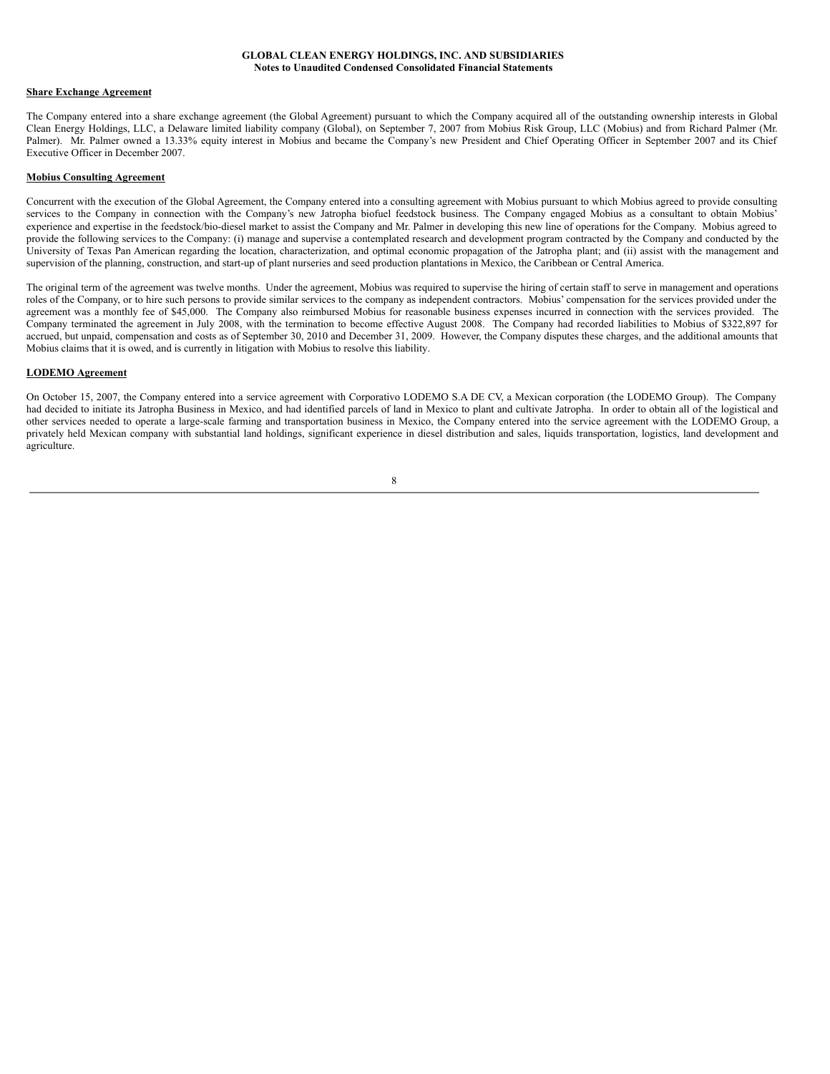#### **Share Exchange Agreement**

The Company entered into a share exchange agreement (the Global Agreement) pursuant to which the Company acquired all of the outstanding ownership interests in Global Clean Energy Holdings, LLC, a Delaware limited liability company (Global), on September 7, 2007 from Mobius Risk Group, LLC (Mobius) and from Richard Palmer (Mr. Palmer). Mr. Palmer owned a 13.33% equity interest in Mobius and became the Company's new President and Chief Operating Officer in September 2007 and its Chief Executive Officer in December 2007.

#### **Mobius Consulting Agreement**

Concurrent with the execution of the Global Agreement, the Company entered into a consulting agreement with Mobius pursuant to which Mobius agreed to provide consulting services to the Company in connection with the Company's new Jatropha biofuel feedstock business. The Company engaged Mobius as a consultant to obtain Mobius' experience and expertise in the feedstock/bio-diesel market to assist the Company and Mr. Palmer in developing this new line of operations for the Company. Mobius agreed to provide the following services to the Company: (i) manage and supervise a contemplated research and development program contracted by the Company and conducted by the University of Texas Pan American regarding the location, characterization, and optimal economic propagation of the Jatropha plant; and (ii) assist with the management and supervision of the planning, construction, and start-up of plant nurseries and seed production plantations in Mexico, the Caribbean or Central America.

The original term of the agreement was twelve months. Under the agreement, Mobius was required to supervise the hiring of certain staff to serve in management and operations roles of the Company, or to hire such persons to provide similar services to the company as independent contractors. Mobius' compensation for the services provided under the agreement was a monthly fee of \$45,000. The Company also reimbursed Mobius for reasonable business expenses incurred in connection with the services provided. The Company terminated the agreement in July 2008, with the termination to become effective August 2008. The Company had recorded liabilities to Mobius of \$322,897 for accrued, but unpaid, compensation and costs as of September 30, 2010 and December 31, 2009. However, the Company disputes these charges, and the additional amounts that Mobius claims that it is owed, and is currently in litigation with Mobius to resolve this liability.

#### **LODEMO Agreement**

On October 15, 2007, the Company entered into a service agreement with Corporativo LODEMO S.A DE CV, a Mexican corporation (the LODEMO Group). The Company had decided to initiate its Jatropha Business in Mexico, and had identified parcels of land in Mexico to plant and cultivate Jatropha. In order to obtain all of the logistical and other services needed to operate a large-scale farming and transportation business in Mexico, the Company entered into the service agreement with the LODEMO Group, a privately held Mexican company with substantial land holdings, significant experience in diesel distribution and sales, liquids transportation, logistics, land development and agriculture.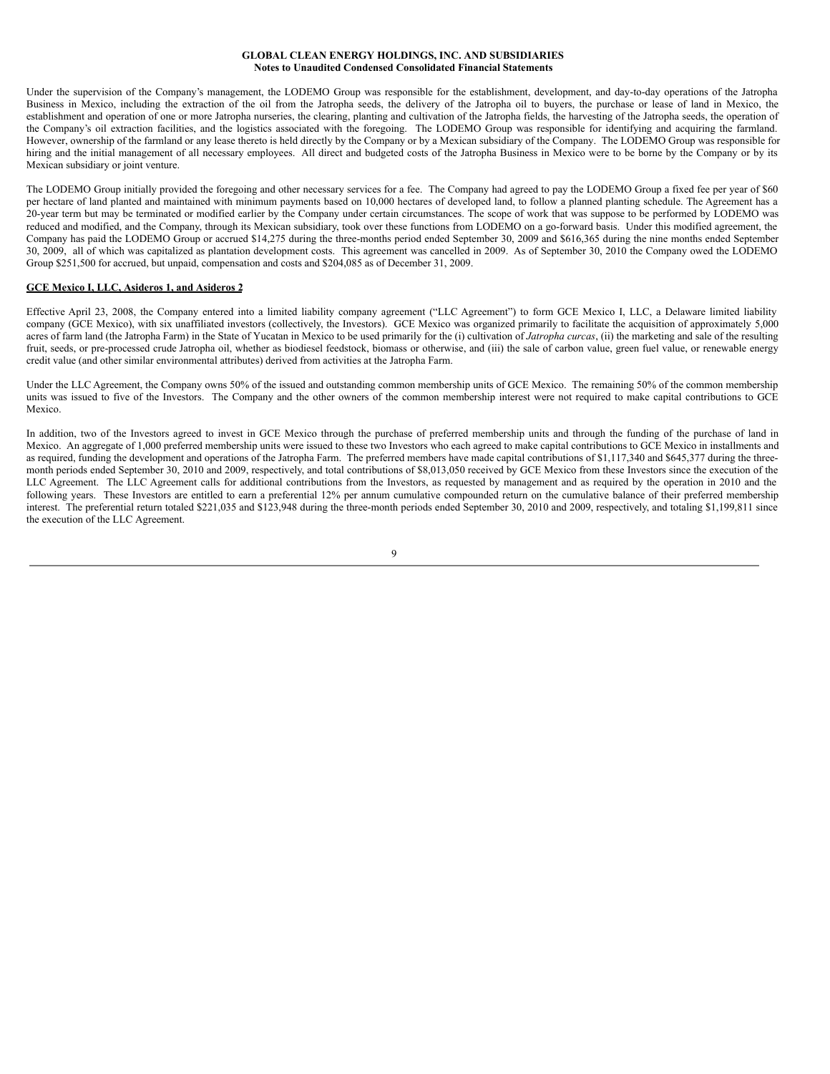Under the supervision of the Company's management, the LODEMO Group was responsible for the establishment, development, and day-to-day operations of the Jatropha Business in Mexico, including the extraction of the oil from the Jatropha seeds, the delivery of the Jatropha oil to buyers, the purchase or lease of land in Mexico, the establishment and operation of one or more Jatropha nurseries, the clearing, planting and cultivation of the Jatropha fields, the harvesting of the Jatropha seeds, the operation of the Company's oil extraction facilities, and the logistics associated with the foregoing. The LODEMO Group was responsible for identifying and acquiring the farmland. However, ownership of the farmland or any lease thereto is held directly by the Company or by a Mexican subsidiary of the Company. The LODEMO Group was responsible for hiring and the initial management of all necessary employees. All direct and budgeted costs of the Jatropha Business in Mexico were to be borne by the Company or by its Mexican subsidiary or joint venture.

The LODEMO Group initially provided the foregoing and other necessary services for a fee. The Company had agreed to pay the LODEMO Group a fixed fee per year of \$60 per hectare of land planted and maintained with minimum payments based on 10,000 hectares of developed land, to follow a planned planting schedule. The Agreement has a 20-year term but may be terminated or modified earlier by the Company under certain circumstances. The scope of work that was suppose to be performed by LODEMO was reduced and modified, and the Company, through its Mexican subsidiary, took over these functions from LODEMO on a go-forward basis. Under this modified agreement, the Company has paid the LODEMO Group or accrued \$14,275 during the three-months period ended September 30, 2009 and \$616,365 during the nine months ended September 30, 2009, all of which was capitalized as plantation development costs. This agreement was cancelled in 2009. As of September 30, 2010 the Company owed the LODEMO Group \$251,500 for accrued, but unpaid, compensation and costs and \$204,085 as of December 31, 2009.

#### **GCE Mexico I, LLC, Asideros 1, and Asideros 2**

Effective April 23, 2008, the Company entered into a limited liability company agreement ("LLC Agreement") to form GCE Mexico I, LLC, a Delaware limited liability company (GCE Mexico), with six unaffiliated investors (collectively, the Investors). GCE Mexico was organized primarily to facilitate the acquisition of approximately 5,000 acres of farm land (the Jatropha Farm) in the State of Yucatan in Mexico to be used primarily for the (i) cultivation of *Jatropha curcas*, (ii) the marketing and sale of the resulting fruit, seeds, or pre-processed crude Jatropha oil, whether as biodiesel feedstock, biomass or otherwise, and (iii) the sale of carbon value, green fuel value, or renewable energy credit value (and other similar environmental attributes) derived from activities at the Jatropha Farm.

Under the LLC Agreement, the Company owns 50% of the issued and outstanding common membership units of GCE Mexico. The remaining 50% of the common membership units was issued to five of the Investors. The Company and the other owners of the common membership interest were not required to make capital contributions to GCE Mexico.

In addition, two of the Investors agreed to invest in GCE Mexico through the purchase of preferred membership units and through the funding of the purchase of land in Mexico. An aggregate of 1,000 preferred membership units were issued to these two Investors who each agreed to make capital contributions to GCE Mexico in installments and as required, funding the development and operations of the Jatropha Farm. The preferred members have made capital contributions of \$1,117,340 and \$645,377 during the threemonth periods ended September 30, 2010 and 2009, respectively, and total contributions of \$8,013,050 received by GCE Mexico from these Investors since the execution of the LLC Agreement. The LLC Agreement calls for additional contributions from the Investors, as requested by management and as required by the operation in 2010 and the following years. These Investors are entitled to earn a preferential 12% per annum cumulative compounded return on the cumulative balance of their preferred membership interest. The preferential return totaled \$221,035 and \$123,948 during the three-month periods ended September 30, 2010 and 2009, respectively, and totaling \$1,199,811 since the execution of the LLC Agreement.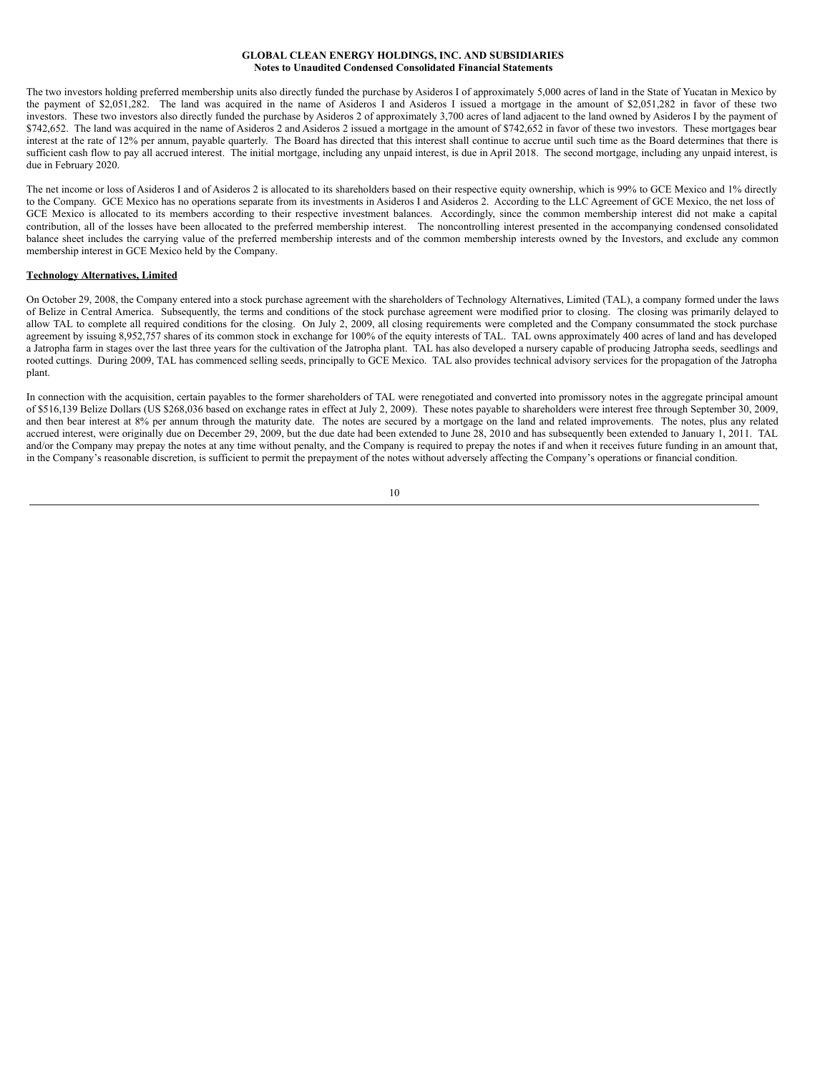The two investors holding preferred membership units also directly funded the purchase by Asideros I of approximately 5,000 acres of land in the State of Yucatan in Mexico by the payment of \$2,051,282. The land was acquired in the name of Asideros I and Asideros I issued a mortgage in the amount of \$2,051,282 in favor of these two investors. These two investors also directly funded the purchase by Asideros 2 of approximately 3,700 acres of land adjacent to the land owned by Asideros I by the payment of \$742,652. The land was acquired in the name of Asideros 2 and Asideros 2 issued a mortgage in the amount of \$742,652 in favor of these two investors. These mortgages bear interest at the rate of 12% per annum, payable quarterly. The Board has directed that this interest shall continue to accrue until such time as the Board determines that there is sufficient cash flow to pay all accrued interest. The initial mortgage, including any unpaid interest, is due in April 2018. The second mortgage, including any unpaid interest, is due in February 2020.

The net income or loss of Asideros I and of Asideros 2 is allocated to its shareholders based on their respective equity ownership, which is 99% to GCE Mexico and 1% directly to the Company. GCE Mexico has no operations separate from its investments in Asideros I and Asideros 2. According to the LLC Agreement of GCE Mexico, the net loss of GCE Mexico is allocated to its members according to their respective investment balances. Accordingly, since the common membership interest did not make a capital contribution, all of the losses have been allocated to the preferred membership interest. The noncontrolling interest presented in the accompanying condensed consolidated balance sheet includes the carrying value of the preferred membership interests and of the common membership interests owned by the Investors, and exclude any common membership interest in GCE Mexico held by the Company.

## **Technology Alternatives, Limited**

On October 29, 2008, the Company entered into a stock purchase agreement with the shareholders of Technology Alternatives, Limited (TAL), a company formed under the laws of Belize in Central America. Subsequently, the terms and conditions of the stock purchase agreement were modified prior to closing. The closing was primarily delayed to allow TAL to complete all required conditions for the closing. On July 2, 2009, all closing requirements were completed and the Company consummated the stock purchase agreement by issuing 8,952,757 shares of its common stock in exchange for 100% of the equity interests of TAL. TAL owns approximately 400 acres of land and has developed a Jatropha farm in stages over the last three years for the cultivation of the Jatropha plant. TAL has also developed a nursery capable of producing Jatropha seeds, seedlings and rooted cuttings. During 2009, TAL has commenced selling seeds, principally to GCE Mexico. TAL also provides technical advisory services for the propagation of the Jatropha plant.

In connection with the acquisition, certain payables to the former shareholders of TAL were renegotiated and converted into promissory notes in the aggregate principal amount of \$516,139 Belize Dollars (US \$268,036 based on exchange rates in effect at July 2, 2009). These notes payable to shareholders were interest free through September 30, 2009, and then bear interest at 8% per annum through the maturity date. The notes are secured by a mortgage on the land and related improvements. The notes, plus any related accrued interest, were originally due on December 29, 2009, but the due date had been extended to June 28, 2010 and has subsequently been extended to January 1, 2011. TAL and/or the Company may prepay the notes at any time without penalty, and the Company is required to prepay the notes if and when it receives future funding in an amount that, in the Company's reasonable discretion, is sufficient to permit the prepayment of the notes without adversely affecting the Company's operations or financial condition.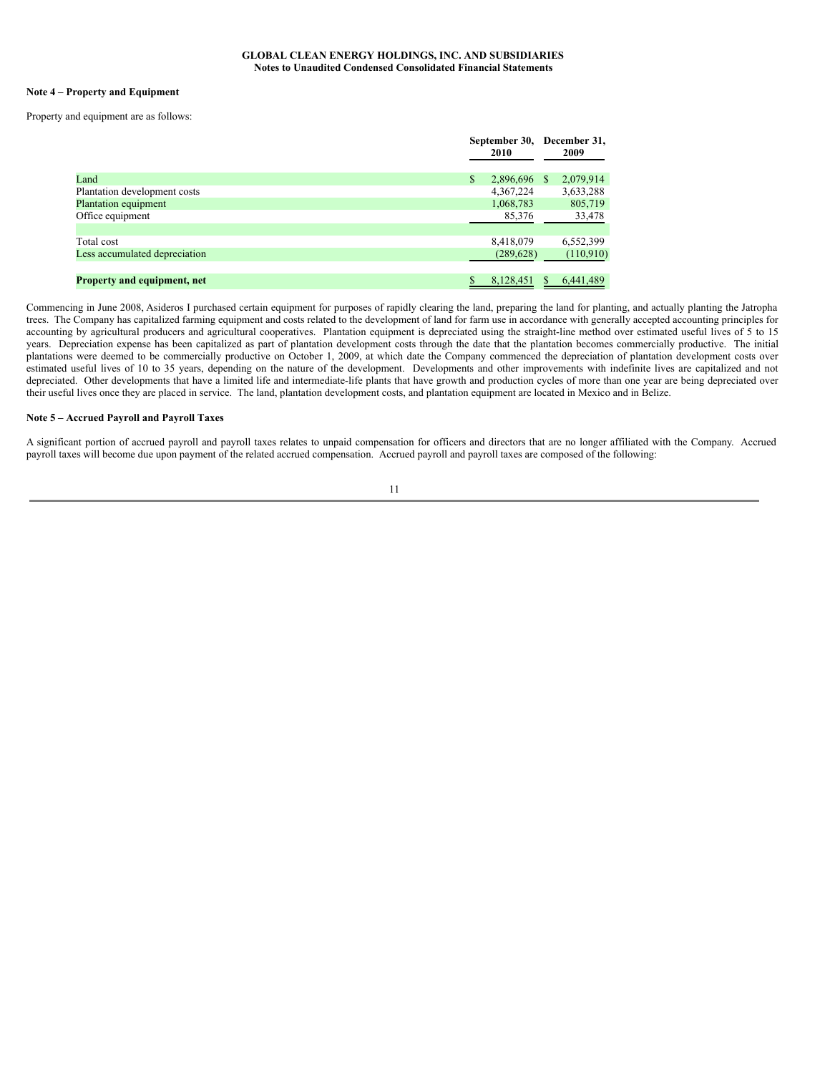#### **Note 4 – Property and Equipment**

Property and equipment are as follows:

|                                    | 2010              | September 30, December 31,<br>2009 |
|------------------------------------|-------------------|------------------------------------|
| Land                               | S<br>2,896,696 \$ | 2,079,914                          |
| Plantation development costs       | 4,367,224         | 3,633,288                          |
| <b>Plantation equipment</b>        | 1,068,783         | 805,719                            |
| Office equipment                   | 85,376            | 33,478                             |
| Total cost                         | 8,418,079         | 6,552,399                          |
| Less accumulated depreciation      | (289, 628)        | (110,910)                          |
|                                    |                   |                                    |
| <b>Property and equipment, net</b> | 8,128,451         | 6,441,489<br>S.                    |

Commencing in June 2008, Asideros I purchased certain equipment for purposes of rapidly clearing the land, preparing the land for planting, and actually planting the Jatropha trees. The Company has capitalized farming equipment and costs related to the development of land for farm use in accordance with generally accepted accounting principles for accounting by agricultural producers and agricultural cooperatives. Plantation equipment is depreciated using the straight-line method over estimated useful lives of 5 to 15 years. Depreciation expense has been capitalized as part of plantation development costs through the date that the plantation becomes commercially productive. The initial plantations were deemed to be commercially productive on October 1, 2009, at which date the Company commenced the depreciation of plantation development costs over estimated useful lives of 10 to 35 years, depending on the nature of the development. Developments and other improvements with indefinite lives are capitalized and not depreciated. Other developments that have a limited life and intermediate-life plants that have growth and production cycles of more than one year are being depreciated over their useful lives once they are placed in service. The land, plantation development costs, and plantation equipment are located in Mexico and in Belize.

## **Note 5 – Accrued Payroll and Payroll Taxes**

A significant portion of accrued payroll and payroll taxes relates to unpaid compensation for officers and directors that are no longer affiliated with the Company. Accrued payroll taxes will become due upon payment of the related accrued compensation. Accrued payroll and payroll taxes are composed of the following: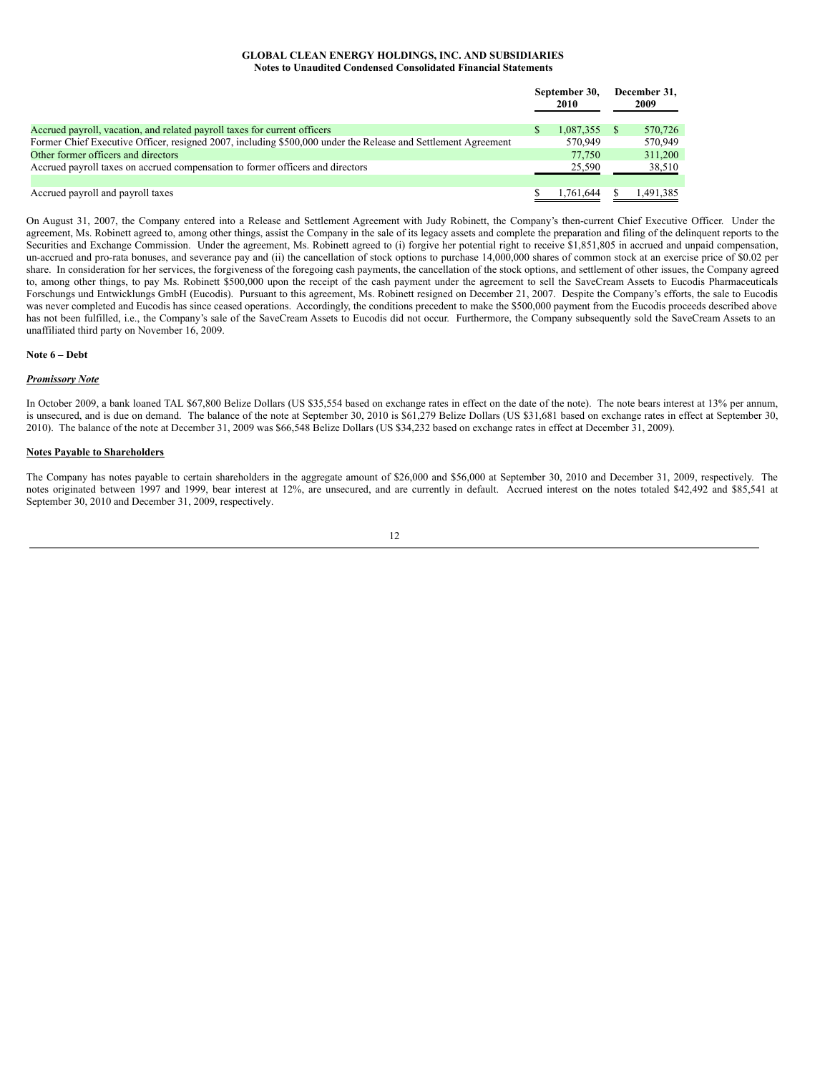|                                                                                                               | September 30,<br>2010 | December 31,<br>2009 |
|---------------------------------------------------------------------------------------------------------------|-----------------------|----------------------|
| Accrued payroll, vacation, and related payroll taxes for current officers                                     | 1.087.355             | 570,726              |
| Former Chief Executive Officer, resigned 2007, including \$500,000 under the Release and Settlement Agreement | 570,949               | 570.949              |
| Other former officers and directors                                                                           | 77.750                | 311,200              |
| Accrued payroll taxes on accrued compensation to former officers and directors                                | 25,590                | 38,510               |
|                                                                                                               |                       |                      |
| Accrued payroll and payroll taxes                                                                             | 1.761.644             | 1.491.385            |

On August 31, 2007, the Company entered into a Release and Settlement Agreement with Judy Robinett, the Company's then-current Chief Executive Officer. Under the agreement, Ms. Robinett agreed to, among other things, assist the Company in the sale of its legacy assets and complete the preparation and filing of the delinquent reports to the Securities and Exchange Commission. Under the agreement, Ms. Robinett agreed to (i) forgive her potential right to receive \$1,851,805 in accrued and unpaid compensation, un-accrued and pro-rata bonuses, and severance pay and (ii) the cancellation of stock options to purchase 14,000,000 shares of common stock at an exercise price of \$0.02 per share. In consideration for her services, the forgiveness of the foregoing cash payments, the cancellation of the stock options, and settlement of other issues, the Company agreed to, among other things, to pay Ms. Robinett \$500,000 upon the receipt of the cash payment under the agreement to sell the SaveCream Assets to Eucodis Pharmaceuticals Forschungs und Entwicklungs GmbH (Eucodis). Pursuant to this agreement, Ms. Robinett resigned on December 21, 2007. Despite the Company's efforts, the sale to Eucodis was never completed and Eucodis has since ceased operations. Accordingly, the conditions precedent to make the \$500,000 payment from the Eucodis proceeds described above has not been fulfilled, i.e., the Company's sale of the SaveCream Assets to Eucodis did not occur. Furthermore, the Company subsequently sold the SaveCream Assets to an unaffiliated third party on November 16, 2009.

## **Note 6 – Debt**

## *Promissory Note*

In October 2009, a bank loaned TAL \$67,800 Belize Dollars (US \$35,554 based on exchange rates in effect on the date of the note). The note bears interest at 13% per annum, is unsecured, and is due on demand. The balance of the note at September 30, 2010 is \$61,279 Belize Dollars (US \$31,681 based on exchange rates in effect at September 30, 2010). The balance of the note at December 31, 2009 was \$66,548 Belize Dollars (US \$34,232 based on exchange rates in effect at December 31, 2009).

#### **Notes Payable to Shareholders**

The Company has notes payable to certain shareholders in the aggregate amount of \$26,000 and \$56,000 at September 30, 2010 and December 31, 2009, respectively. The notes originated between 1997 and 1999, bear interest at 12%, are unsecured, and are currently in default. Accrued interest on the notes totaled \$42,492 and \$85,541 at September 30, 2010 and December 31, 2009, respectively.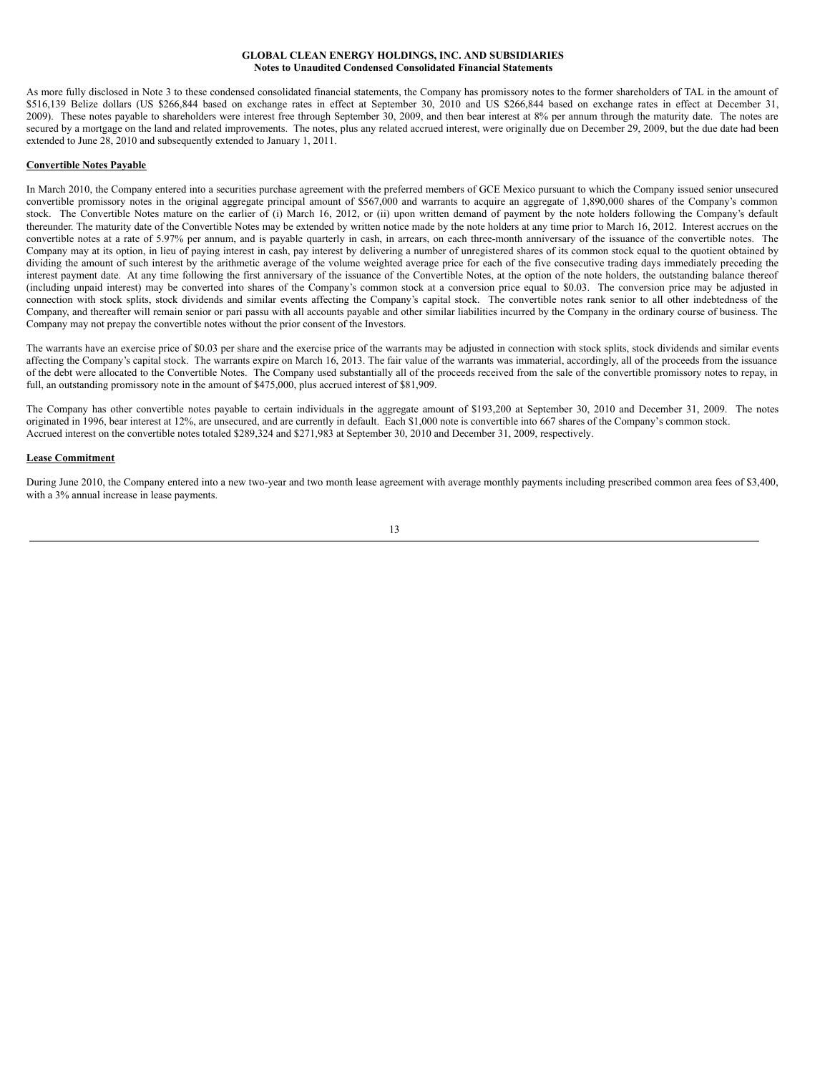As more fully disclosed in Note 3 to these condensed consolidated financial statements, the Company has promissory notes to the former shareholders of TAL in the amount of \$516,139 Belize dollars (US \$266,844 based on exchange rates in effect at September 30, 2010 and US \$266,844 based on exchange rates in effect at December 31, 2009). These notes payable to shareholders were interest free through September 30, 2009, and then bear interest at 8% per annum through the maturity date. The notes are secured by a mortgage on the land and related improvements. The notes, plus any related accrued interest, were originally due on December 29, 2009, but the due date had been extended to June 28, 2010 and subsequently extended to January 1, 2011.

# **Convertible Notes Payable**

In March 2010, the Company entered into a securities purchase agreement with the preferred members of GCE Mexico pursuant to which the Company issued senior unsecured convertible promissory notes in the original aggregate principal amount of \$567,000 and warrants to acquire an aggregate of 1,890,000 shares of the Company's common stock. The Convertible Notes mature on the earlier of (i) March 16, 2012, or (ii) upon written demand of payment by the note holders following the Company's default thereunder. The maturity date of the Convertible Notes may be extended by written notice made by the note holders at any time prior to March 16, 2012. Interest accrues on the convertible notes at a rate of 5.97% per annum, and is payable quarterly in cash, in arrears, on each three-month anniversary of the issuance of the convertible notes. The Company may at its option, in lieu of paying interest in cash, pay interest by delivering a number of unregistered shares of its common stock equal to the quotient obtained by dividing the amount of such interest by the arithmetic average of the volume weighted average price for each of the five consecutive trading days immediately preceding the interest payment date. At any time following the first anniversary of the issuance of the Convertible Notes, at the option of the note holders, the outstanding balance thereof (including unpaid interest) may be converted into shares of the Company's common stock at a conversion price equal to \$0.03. The conversion price may be adjusted in connection with stock splits, stock dividends and similar events affecting the Company's capital stock. The convertible notes rank senior to all other indebtedness of the Company, and thereafter will remain senior or pari passu with all accounts payable and other similar liabilities incurred by the Company in the ordinary course of business. The Company may not prepay the convertible notes without the prior consent of the Investors.

The warrants have an exercise price of \$0.03 per share and the exercise price of the warrants may be adjusted in connection with stock splits, stock dividends and similar events affecting the Company's capital stock. The warrants expire on March 16, 2013. The fair value of the warrants was immaterial, accordingly, all of the proceeds from the issuance of the debt were allocated to the Convertible Notes. The Company used substantially all of the proceeds received from the sale of the convertible promissory notes to repay, in full, an outstanding promissory note in the amount of \$475,000, plus accrued interest of \$81,909.

The Company has other convertible notes payable to certain individuals in the aggregate amount of \$193,200 at September 30, 2010 and December 31, 2009. The notes originated in 1996, bear interest at 12%, are unsecured, and are currently in default. Each \$1,000 note is convertible into 667 shares of the Company's common stock. Accrued interest on the convertible notes totaled \$289,324 and \$271,983 at September 30, 2010 and December 31, 2009, respectively.

## **Lease Commitment**

During June 2010, the Company entered into a new two-year and two month lease agreement with average monthly payments including prescribed common area fees of \$3,400, with a 3% annual increase in lease payments.

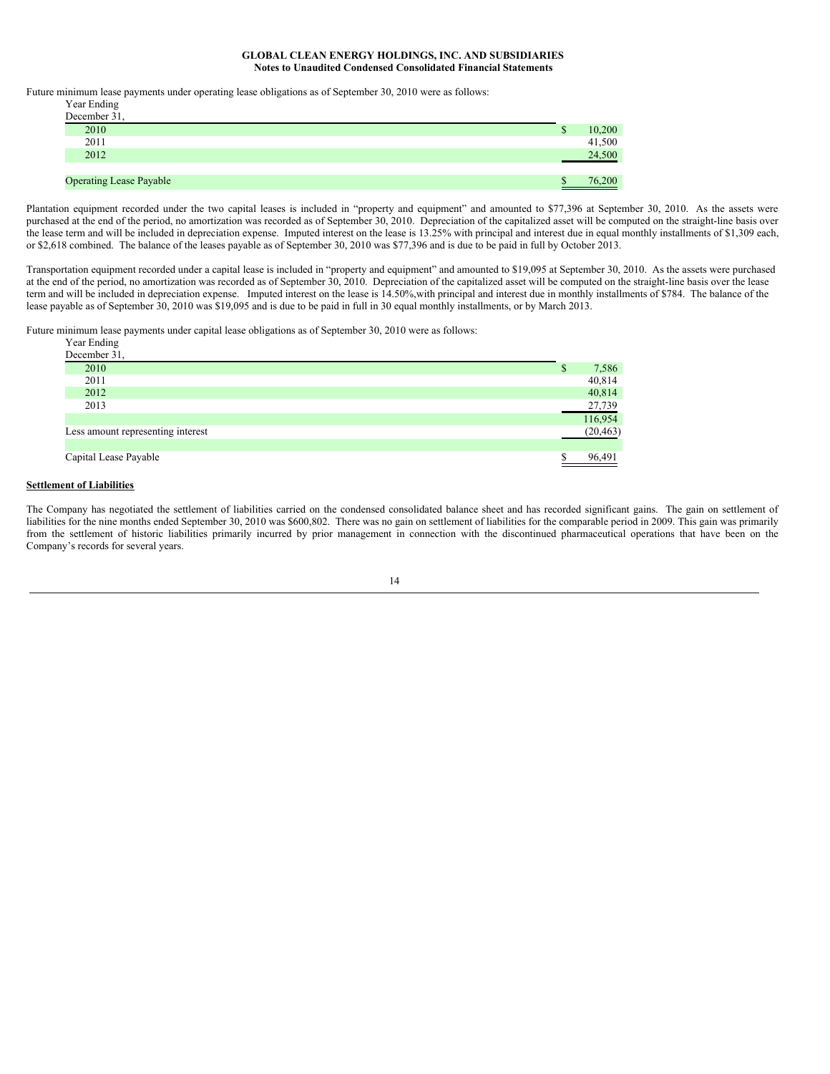Future minimum lease payments under operating lease obligations as of September 30, 2010 were as follows: Year Ending

| Tear Ending                    |    |        |
|--------------------------------|----|--------|
| December 31,                   |    |        |
| 2010                           | ΨD | 10,200 |
| 2011                           |    | 41,500 |
| 2012                           |    | 24,500 |
|                                |    |        |
| <b>Operating Lease Payable</b> | ۰D | 76.200 |

Plantation equipment recorded under the two capital leases is included in "property and equipment" and amounted to \$77,396 at September 30, 2010. As the assets were purchased at the end of the period, no amortization was recorded as of September 30, 2010. Depreciation of the capitalized asset will be computed on the straight-line basis over the lease term and will be included in depreciation expense. Imputed interest on the lease is 13.25% with principal and interest due in equal monthly installments of \$1,309 each, or \$2,618 combined. The balance of the leases payable as of September 30, 2010 was \$77,396 and is due to be paid in full by October 2013.

Transportation equipment recorded under a capital lease is included in "property and equipment" and amounted to \$19,095 at September 30, 2010. As the assets were purchased at the end of the period, no amortization was recorded as of September 30, 2010. Depreciation of the capitalized asset will be computed on the straight-line basis over the lease term and will be included in depreciation expense. Imputed interest on the lease is 14.50%,with principal and interest due in monthly installments of \$784. The balance of the lease payable as of September 30, 2010 was \$19,095 and is due to be paid in full in 30 equal monthly installments, or by March 2013.

Future minimum lease payments under capital lease obligations as of September 30, 2010 were as follows:

Year Ending

| December 31,                      |   |           |
|-----------------------------------|---|-----------|
| 2010                              | S | 7,586     |
| 2011                              |   | 40,814    |
| 2012                              |   | 40,814    |
| 2013                              |   | 27,739    |
|                                   |   | 116,954   |
| Less amount representing interest |   | (20, 463) |
|                                   |   |           |
| Capital Lease Payable             |   | 96,491    |

# **Settlement of Liabilities**

The Company has negotiated the settlement of liabilities carried on the condensed consolidated balance sheet and has recorded significant gains. The gain on settlement of liabilities for the nine months ended September 30, 2010 was \$600,802. There was no gain on settlement of liabilities for the comparable period in 2009. This gain was primarily from the settlement of historic liabilities primarily incurred by prior management in connection with the discontinued pharmaceutical operations that have been on the Company's records for several years.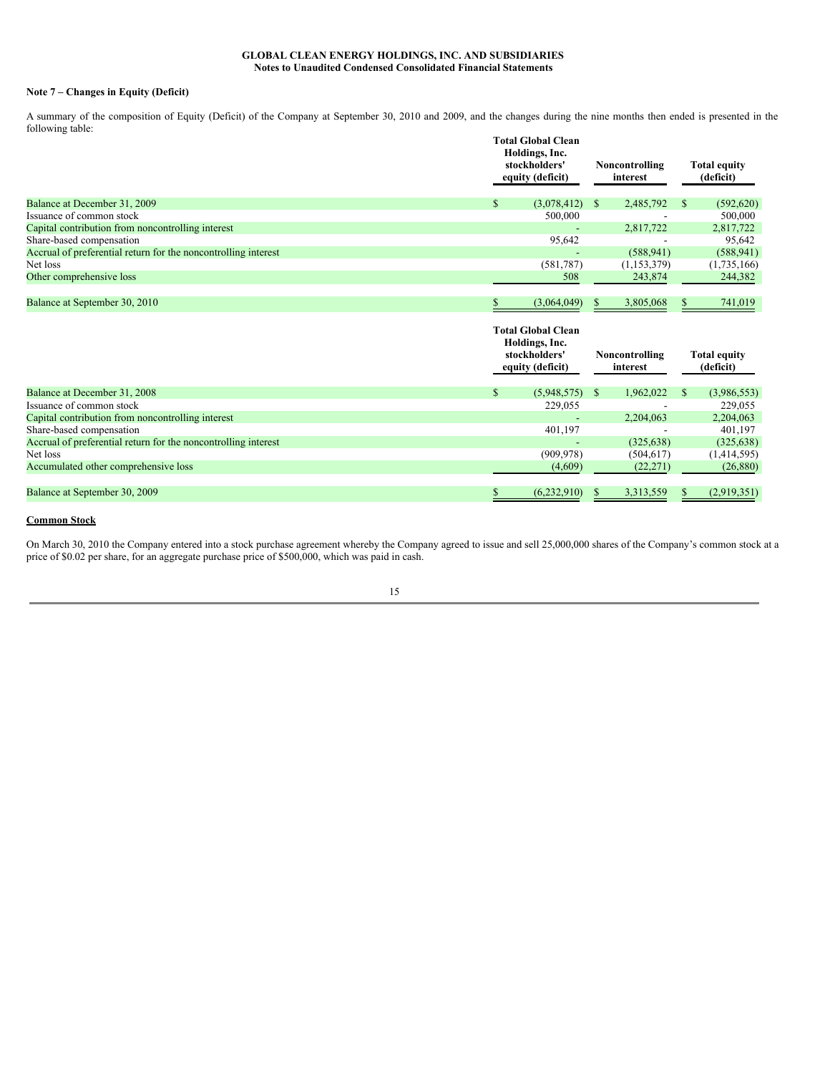# **Note 7 – Changes in Equity (Deficit)**

A summary of the composition of Equity (Deficit) of the Company at September 30, 2010 and 2009, and the changes during the nine months then ended is presented in the following table:

|                                                                | <b>Total Global Clean</b><br>Holdings, Inc.<br>stockholders'<br>equity (deficit) |                                                                                  |                            | Noncontrolling<br>interest | <b>Total equity</b><br>(deficit) |                                  |
|----------------------------------------------------------------|----------------------------------------------------------------------------------|----------------------------------------------------------------------------------|----------------------------|----------------------------|----------------------------------|----------------------------------|
| Balance at December 31, 2009                                   | \$                                                                               | $(3,078,412)$ \$                                                                 |                            | 2,485,792                  | -S                               | (592, 620)                       |
| Issuance of common stock                                       |                                                                                  | 500,000                                                                          |                            |                            |                                  | 500,000                          |
| Capital contribution from noncontrolling interest              |                                                                                  |                                                                                  |                            | 2,817,722                  |                                  | 2,817,722                        |
| Share-based compensation                                       |                                                                                  | 95,642                                                                           |                            |                            |                                  | 95,642                           |
| Accrual of preferential return for the noncontrolling interest |                                                                                  |                                                                                  |                            | (588, 941)                 |                                  | (588, 941)                       |
| Net loss                                                       |                                                                                  | (581, 787)                                                                       |                            | (1, 153, 379)              |                                  | (1,735,166)                      |
| Other comprehensive loss                                       |                                                                                  | 508                                                                              |                            | 243,874                    |                                  | 244,382                          |
| Balance at September 30, 2010                                  |                                                                                  | (3,064,049)                                                                      | <sup>S</sup>               | 3,805,068                  |                                  | 741,019                          |
|                                                                |                                                                                  | <b>Total Global Clean</b><br>Holdings, Inc.<br>stockholders'<br>equity (deficit) | Noncontrolling<br>interest |                            |                                  | <b>Total equity</b><br>(deficit) |

|                                                                | yuny (uchen) |                  | 111 W W    | (uchthe)    |
|----------------------------------------------------------------|--------------|------------------|------------|-------------|
| Balance at December 31, 2008                                   | æ            | $(5,948,575)$ \$ | 1,962,022  | (3,986,553) |
| Issuance of common stock                                       |              | 229,055          |            | 229,055     |
| Capital contribution from noncontrolling interest              |              |                  | 2,204,063  | 2,204,063   |
| Share-based compensation                                       |              | 401,197          |            | 401,197     |
| Accrual of preferential return for the noncontrolling interest |              |                  | (325, 638) | (325, 638)  |
| Net loss                                                       |              | (909.978)        | (504, 617) | (1,414,595) |
| Accumulated other comprehensive loss                           |              | (4,609)          | (22, 271)  | (26, 880)   |
|                                                                |              |                  |            |             |
| Balance at September 30, 2009                                  |              | (6,232,910)      | 3,313,559  | (2,919,351) |

# **Common Stock**

On March 30, 2010 the Company entered into a stock purchase agreement whereby the Company agreed to issue and sell 25,000,000 shares of the Company's common stock at a price of \$0.02 per share, for an aggregate purchase price of \$500,000, which was paid in cash.

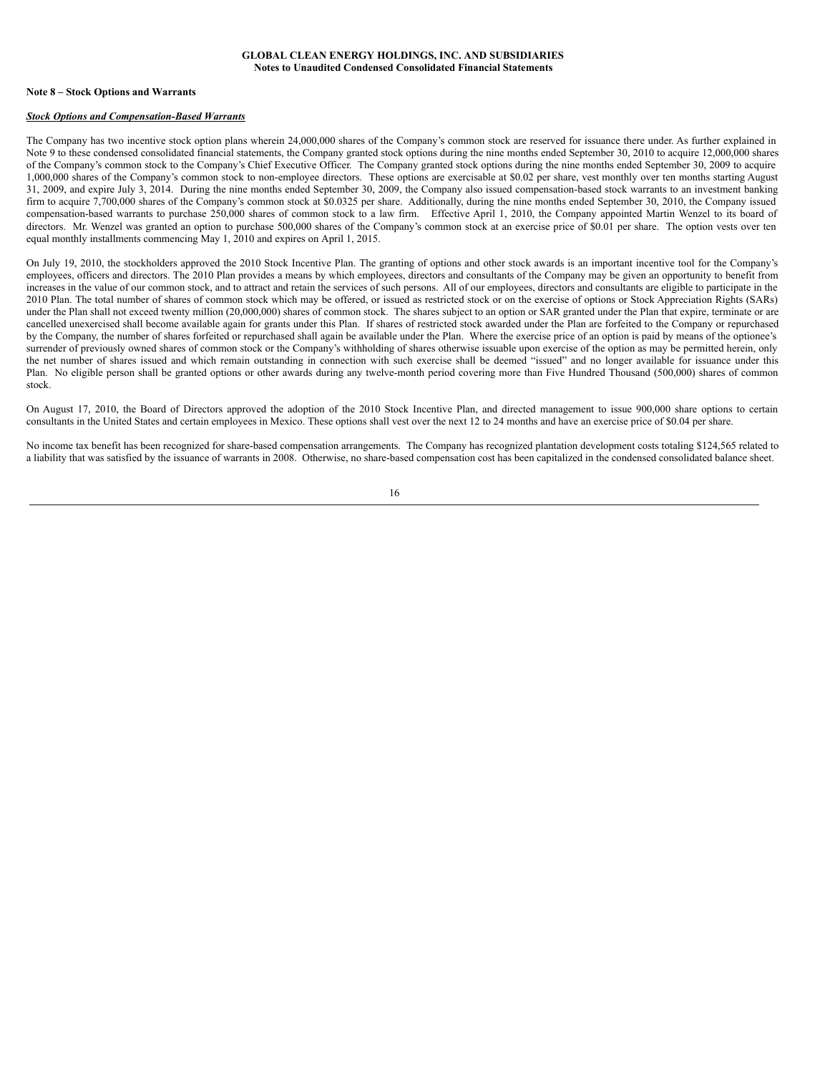#### **Note 8 – Stock Options and Warrants**

#### *Stock Options and Compensation-Based Warrants*

The Company has two incentive stock option plans wherein 24,000,000 shares of the Company's common stock are reserved for issuance there under. As further explained in Note 9 to these condensed consolidated financial statements, the Company granted stock options during the nine months ended September 30, 2010 to acquire 12,000,000 shares of the Company's common stock to the Company's Chief Executive Officer. The Company granted stock options during the nine months ended September 30, 2009 to acquire 1,000,000 shares of the Company's common stock to non-employee directors. These options are exercisable at \$0.02 per share, vest monthly over ten months starting August 31, 2009, and expire July 3, 2014. During the nine months ended September 30, 2009, the Company also issued compensation-based stock warrants to an investment banking firm to acquire 7,700,000 shares of the Company's common stock at \$0.0325 per share. Additionally, during the nine months ended September 30, 2010, the Company issued compensation-based warrants to purchase 250,000 shares of common stock to a law firm. Effective April 1, 2010, the Company appointed Martin Wenzel to its board of directors. Mr. Wenzel was granted an option to purchase 500,000 shares of the Company's common stock at an exercise price of \$0.01 per share. The option vests over ten equal monthly installments commencing May 1, 2010 and expires on April 1, 2015.

On July 19, 2010, the stockholders approved the 2010 Stock Incentive Plan. The granting of options and other stock awards is an important incentive tool for the Company's employees, officers and directors. The 2010 Plan provides a means by which employees, directors and consultants of the Company may be given an opportunity to benefit from increases in the value of our common stock, and to attract and retain the services of such persons. All of our employees, directors and consultants are eligible to participate in the 2010 Plan. The total number of shares of common stock which may be offered, or issued as restricted stock or on the exercise of options or Stock Appreciation Rights (SARs) under the Plan shall not exceed twenty million (20,000,000) shares of common stock. The shares subject to an option or SAR granted under the Plan that expire, terminate or are cancelled unexercised shall become available again for grants under this Plan. If shares of restricted stock awarded under the Plan are forfeited to the Company or repurchased by the Company, the number of shares forfeited or repurchased shall again be available under the Plan. Where the exercise price of an option is paid by means of the optionee's surrender of previously owned shares of common stock or the Company's withholding of shares otherwise issuable upon exercise of the option as may be permitted herein, only the net number of shares issued and which remain outstanding in connection with such exercise shall be deemed "issued" and no longer available for issuance under this Plan. No eligible person shall be granted options or other awards during any twelve-month period covering more than Five Hundred Thousand (500,000) shares of common stock.

On August 17, 2010, the Board of Directors approved the adoption of the 2010 Stock Incentive Plan, and directed management to issue 900,000 share options to certain consultants in the United States and certain employees in Mexico. These options shall vest over the next 12 to 24 months and have an exercise price of \$0.04 per share.

No income tax benefit has been recognized for share-based compensation arrangements. The Company has recognized plantation development costs totaling \$124,565 related to a liability that was satisfied by the issuance of warrants in 2008. Otherwise, no share-based compensation cost has been capitalized in the condensed consolidated balance sheet.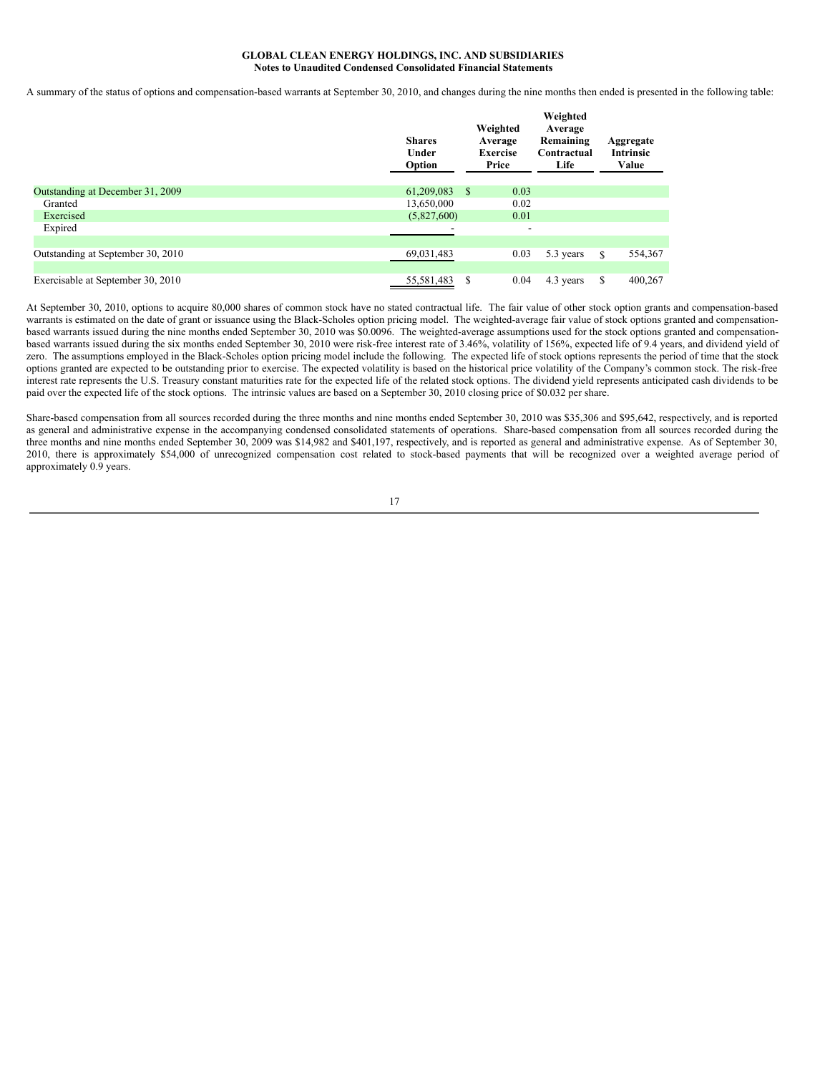A summary of the status of options and compensation-based warrants at September 30, 2010, and changes during the nine months then ended is presented in the following table:

|                                   | <b>Shares</b><br>Under<br>Option | Weighted<br>Average<br><b>Exercise</b><br>Price | Weighted<br>Average<br>Remaining<br>Contractual<br>Life | Aggregate<br><b>Intrinsic</b><br>Value |  |
|-----------------------------------|----------------------------------|-------------------------------------------------|---------------------------------------------------------|----------------------------------------|--|
| Outstanding at December 31, 2009  | 61,209,083 \$                    | 0.03                                            |                                                         |                                        |  |
| Granted                           | 13,650,000                       | 0.02                                            |                                                         |                                        |  |
| Exercised                         | (5,827,600)                      | 0.01                                            |                                                         |                                        |  |
| Expired                           |                                  | ٠                                               |                                                         |                                        |  |
|                                   |                                  |                                                 |                                                         |                                        |  |
| Outstanding at September 30, 2010 | 69,031,483                       | 0.03                                            | 5.3 years                                               | 554,367<br><b>S</b>                    |  |
|                                   |                                  |                                                 |                                                         |                                        |  |
| Exercisable at September 30, 2010 | 55,581,483                       | 0.04<br>S                                       | 4.3 years                                               | 400,267<br>S                           |  |

At September 30, 2010, options to acquire 80,000 shares of common stock have no stated contractual life. The fair value of other stock option grants and compensation-based warrants is estimated on the date of grant or issuance using the Black-Scholes option pricing model. The weighted-average fair value of stock options granted and compensationbased warrants issued during the nine months ended September 30, 2010 was \$0.0096. The weighted-average assumptions used for the stock options granted and compensationbased warrants issued during the six months ended September 30, 2010 were risk-free interest rate of 3.46%, volatility of 156%, expected life of 9.4 years, and dividend yield of zero. The assumptions employed in the Black-Scholes option pricing model include the following. The expected life of stock options represents the period of time that the stock options granted are expected to be outstanding prior to exercise. The expected volatility is based on the historical price volatility of the Company's common stock. The risk-free interest rate represents the U.S. Treasury constant maturities rate for the expected life of the related stock options. The dividend yield represents anticipated cash dividends to be paid over the expected life of the stock options. The intrinsic values are based on a September 30, 2010 closing price of \$0.032 per share.

Share-based compensation from all sources recorded during the three months and nine months ended September 30, 2010 was \$35,306 and \$95,642, respectively, and is reported as general and administrative expense in the accompanying condensed consolidated statements of operations. Share-based compensation from all sources recorded during the three months and nine months ended September 30, 2009 was \$14,982 and \$401,197, respectively, and is reported as general and administrative expense. As of September 30, 2010, there is approximately \$54,000 of unrecognized compensation cost related to stock-based payments that will be recognized over a weighted average period of approximately 0.9 years.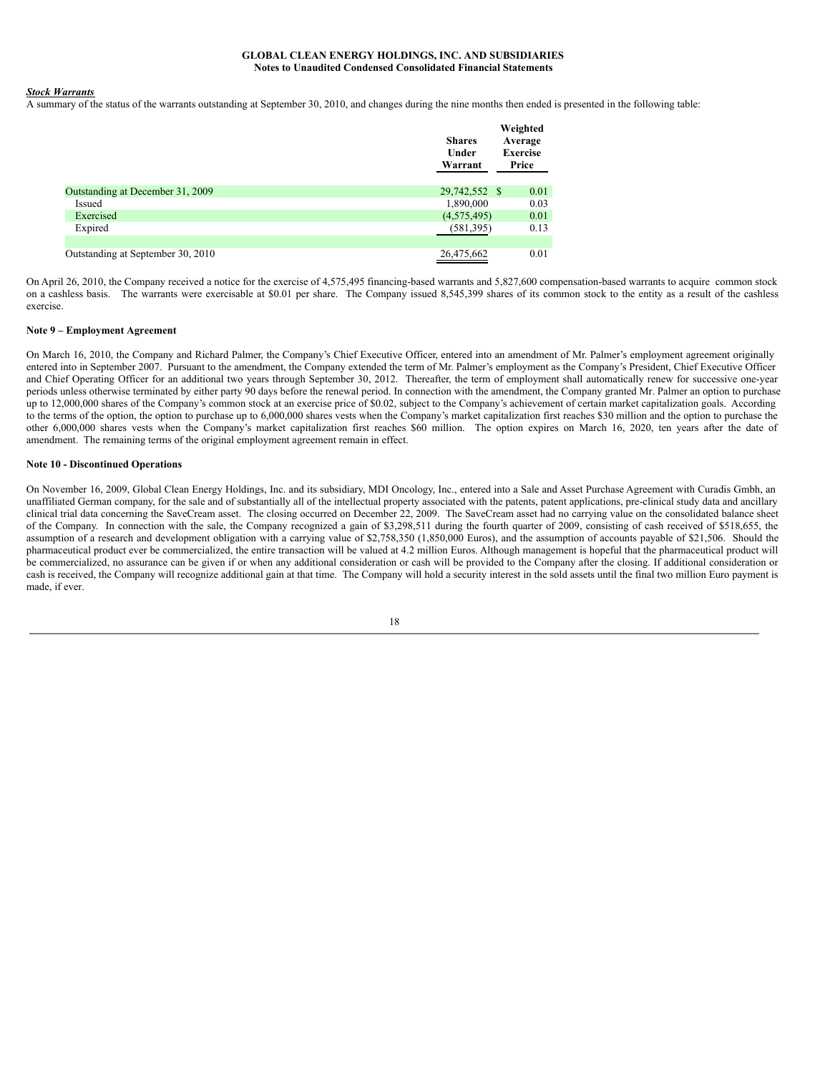#### *Stock Warrants*

A summary of the status of the warrants outstanding at September 30, 2010, and changes during the nine months then ended is presented in the following table:

|                                   | <b>Shares</b><br>Under<br>Warrant | Weighted<br>Average<br><b>Exercise</b><br>Price |
|-----------------------------------|-----------------------------------|-------------------------------------------------|
| Outstanding at December 31, 2009  | 29,742,552 \$                     | 0.01                                            |
| Issued                            | 1,890,000                         | 0.03                                            |
| Exercised                         | (4,575,495)                       | 0.01                                            |
| Expired                           | (581, 395)                        | 0.13                                            |
|                                   |                                   |                                                 |
| Outstanding at September 30, 2010 | 26,475,662                        | 0.01                                            |

On April 26, 2010, the Company received a notice for the exercise of 4,575,495 financing-based warrants and 5,827,600 compensation-based warrants to acquire common stock on a cashless basis. The warrants were exercisable at \$0.01 per share. The Company issued 8,545,399 shares of its common stock to the entity as a result of the cashless exercise.

#### **Note 9 – Employment Agreement**

On March 16, 2010, the Company and Richard Palmer, the Company's Chief Executive Officer, entered into an amendment of Mr. Palmer's employment agreement originally entered into in September 2007. Pursuant to the amendment, the Company extended the term of Mr. Palmer's employment as the Company's President, Chief Executive Officer and Chief Operating Officer for an additional two years through September 30, 2012. Thereafter, the term of employment shall automatically renew for successive one-year periods unless otherwise terminated by either party 90 days before the renewal period. In connection with the amendment, the Company granted Mr. Palmer an option to purchase up to 12,000,000 shares of the Company's common stock at an exercise price of \$0.02, subject to the Company's achievement of certain market capitalization goals. According to the terms of the option, the option to purchase up to 6,000,000 shares vests when the Company's market capitalization first reaches \$30 million and the option to purchase the other 6,000,000 shares vests when the Company's market capitalization first reaches \$60 million. The option expires on March 16, 2020, ten years after the date of amendment. The remaining terms of the original employment agreement remain in effect.

#### **Note 10 - Discontinued Operations**

On November 16, 2009, Global Clean Energy Holdings, Inc. and its subsidiary, MDI Oncology, Inc., entered into a Sale and Asset Purchase Agreement with Curadis Gmbh, an unaffiliated German company, for the sale and of substantially all of the intellectual property associated with the patents, patent applications, pre-clinical study data and ancillary clinical trial data concerning the SaveCream asset. The closing occurred on December 22, 2009. The SaveCream asset had no carrying value on the consolidated balance sheet of the Company. In connection with the sale, the Company recognized a gain of \$3,298,511 during the fourth quarter of 2009, consisting of cash received of \$518,655, the assumption of a research and development obligation with a carrying value of \$2,758,350 (1,850,000 Euros), and the assumption of accounts payable of \$21,506. Should the pharmaceutical product ever be commercialized, the entire transaction will be valued at 4.2 million Euros. Although management is hopeful that the pharmaceutical product will be commercialized, no assurance can be given if or when any additional consideration or cash will be provided to the Company after the closing. If additional consideration or cash is received, the Company will recognize additional gain at that time. The Company will hold a security interest in the sold assets until the final two million Euro payment is made, if ever.

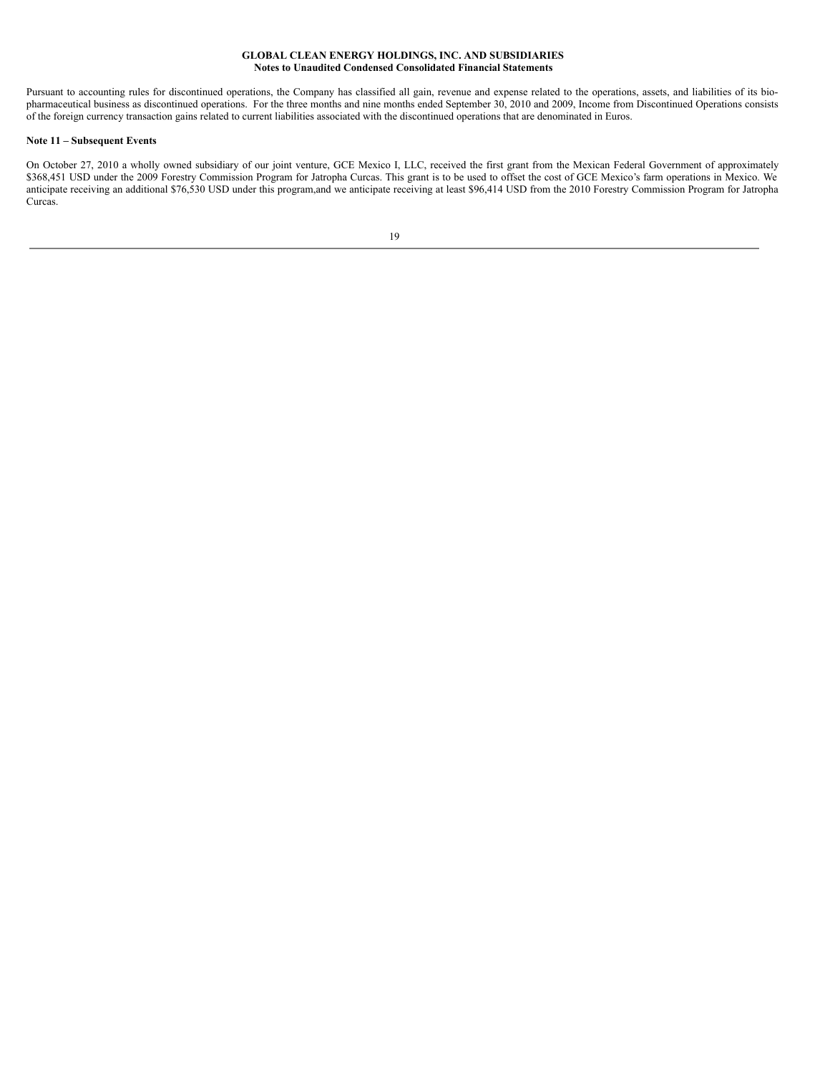Pursuant to accounting rules for discontinued operations, the Company has classified all gain, revenue and expense related to the operations, assets, and liabilities of its biopharmaceutical business as discontinued operations. For the three months and nine months ended September 30, 2010 and 2009, Income from Discontinued Operations consists of the foreign currency transaction gains related to current liabilities associated with the discontinued operations that are denominated in Euros.

# **Note 11 – Subsequent Events**

On October 27, 2010 a wholly owned subsidiary of our joint venture, GCE Mexico I, LLC, received the first grant from the Mexican Federal Government of approximately \$368,451 USD under the 2009 Forestry Commission Program for Jatropha Curcas. This grant is to be used to offset the cost of GCE Mexico's farm operations in Mexico. We anticipate receiving an additional \$76,530 USD under this program,and we anticipate receiving at least \$96,414 USD from the 2010 Forestry Commission Program for Jatropha Curcas.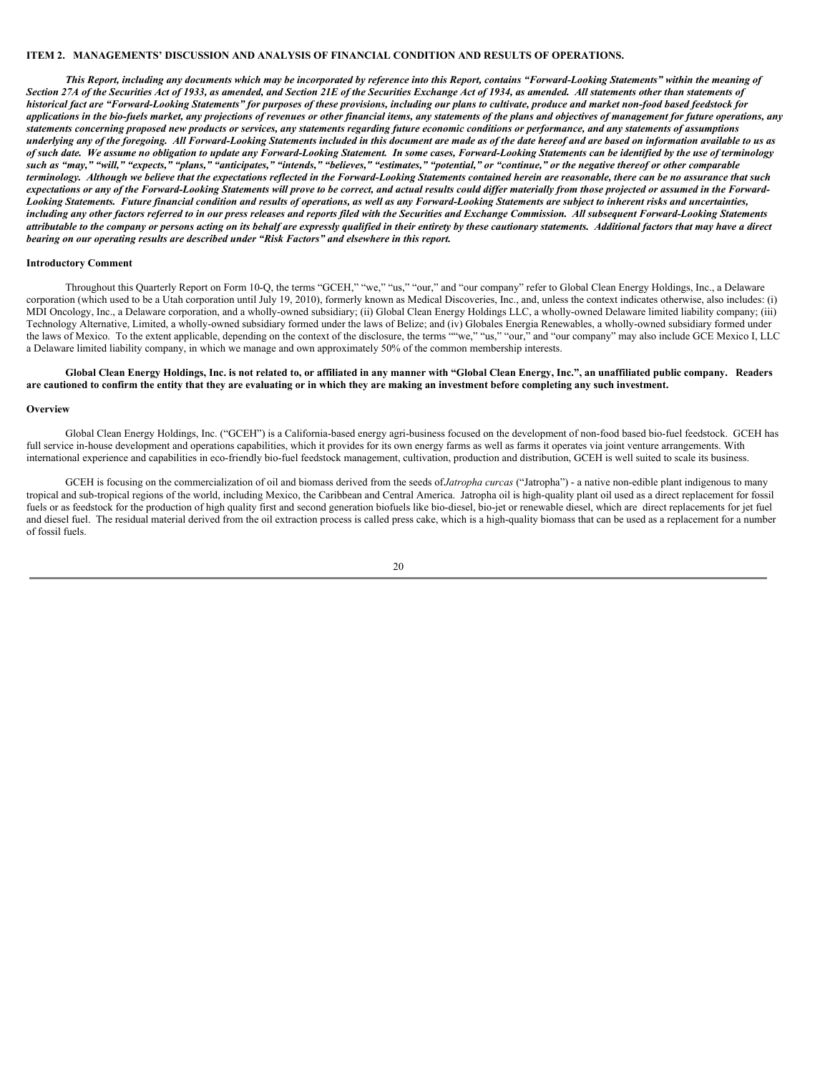#### **ITEM 2. MANAGEMENTS' DISCUSSION AND ANALYSIS OF FINANCIAL CONDITION AND RESULTS OF OPERATIONS.**

This Report, including any documents which may be incorporated by reference into this Report, contains "Forward-Looking Statements" within the meaning of Section 27A of the Securities Act of 1933, as amended, and Section 21E of the Securities Exchange Act of 1934, as amended. All statements other than statements of historical fact are "Forward-Looking Statements" for purposes of these provisions, including our plans to cultivate, produce and market non-food based feedstock for applications in the bio-fuels market, any projections of revenues or other financial items, any statements of the plans and objectives of management for future operations, any statements concerning proposed new products or services, any statements regarding future economic conditions or performance, and any statements of assumptions underlying any of the foregoing. All Forward-Looking Statements included in this document are made as of the date hereof and are based on information available to us as of such date. We assume no obligation to update any Forward-Looking Statement. In some cases, Forward-Looking Statements can be identified by the use of terminology such as "may," "will," "expects," "plans," "anticipates," "intends," "believes," "estimates," "potential," or "continue," or the negative thereof or other comparable terminology. Although we believe that the expectations reflected in the Forward-Looking Statements contained herein are reasonable, there can be no assurance that such expectations or any of the Forward-Looking Statements will prove to be correct, and actual results could differ materially from those projected or assumed in the Forward-Looking Statements. Future financial condition and results of operations, as well as any Forward-Looking Statements are subject to inherent risks and uncertainties, including any other factors referred to in our press releases and reports filed with the Securities and Exchange Commission. All subsequent Forward-Looking Statements attributable to the company or persons acting on its behalf are expressly qualified in their entirety by these cautionary statements. Additional factors that may have a direct *bearing on our operating results are described under "Risk Factors" and elsewhere in this report.*

#### **Introductory Comment**

Throughout this Quarterly Report on Form 10-Q, the terms "GCEH," "we," "us," "our," and "our company" refer to Global Clean Energy Holdings, Inc., a Delaware corporation (which used to be a Utah corporation until July 19, 2010), formerly known as Medical Discoveries, Inc., and, unless the context indicates otherwise, also includes: (i) MDI Oncology, Inc., a Delaware corporation, and a wholly-owned subsidiary; (ii) Global Clean Energy Holdings LLC, a wholly-owned Delaware limited liability company; (iii) Technology Alternative, Limited, a wholly-owned subsidiary formed under the laws of Belize; and (iv) Globales Energia Renewables, a wholly-owned subsidiary formed under the laws of Mexico. To the extent applicable, depending on the context of the disclosure, the terms ""we," "us," "our," and "our company" may also include GCE Mexico I, LLC a Delaware limited liability company, in which we manage and own approximately 50% of the common membership interests.

# Global Clean Energy Holdings, Inc. is not related to, or affiliated in any manner with "Global Clean Energy, Inc.", an unaffiliated public company. Readers are cautioned to confirm the entity that they are evaluating or in which they are making an investment before completing any such investment.

#### **Overview**

Global Clean Energy Holdings, Inc. ("GCEH") is a California-based energy agri-business focused on the development of non-food based bio-fuel feedstock. GCEH has full service in-house development and operations capabilities, which it provides for its own energy farms as well as farms it operates via joint venture arrangements. With international experience and capabilities in eco-friendly bio-fuel feedstock management, cultivation, production and distribution, GCEH is well suited to scale its business.

GCEH is focusing on the commercialization of oil and biomass derived from the seeds of*Jatropha curcas* ("Jatropha") - a native non-edible plant indigenous to many tropical and sub-tropical regions of the world, including Mexico, the Caribbean and Central America. Jatropha oil is high-quality plant oil used as a direct replacement for fossil fuels or as feedstock for the production of high quality first and second generation biofuels like bio-diesel, bio-jet or renewable diesel, which are direct replacements for jet fuel and diesel fuel. The residual material derived from the oil extraction process is called press cake, which is a high-quality biomass that can be used as a replacement for a number of fossil fuels.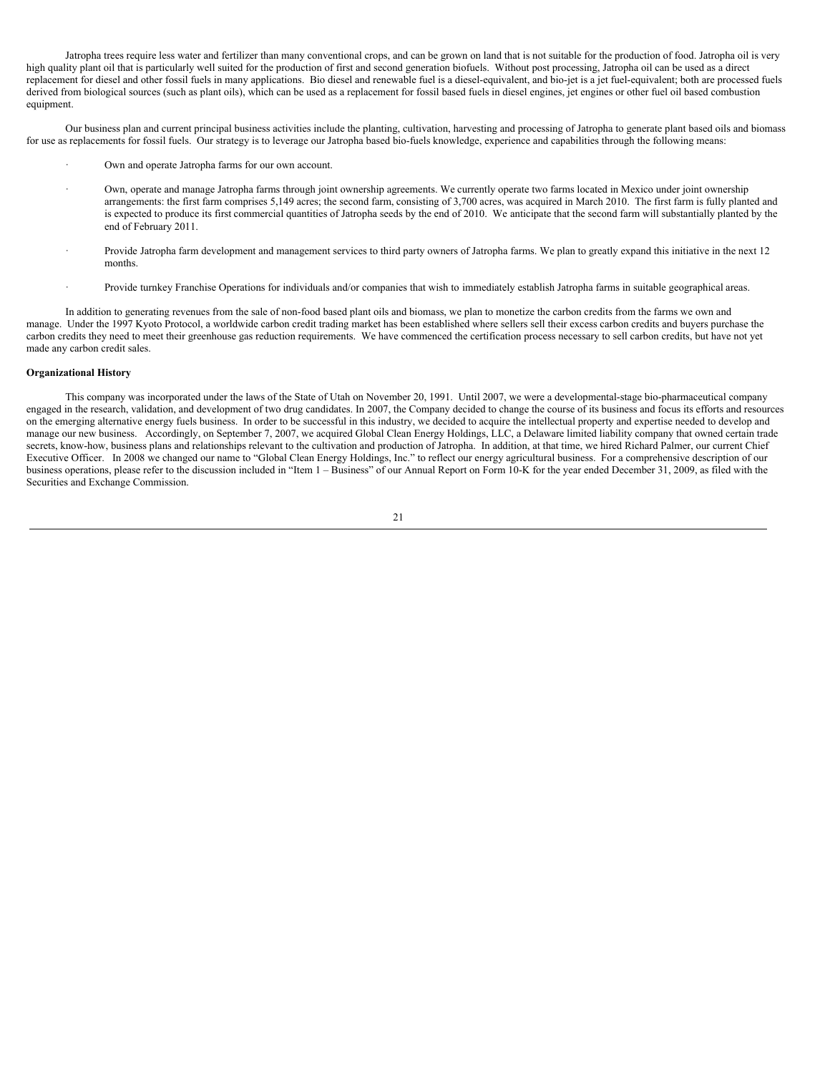Jatropha trees require less water and fertilizer than many conventional crops, and can be grown on land that is not suitable for the production of food. Jatropha oil is very high quality plant oil that is particularly well suited for the production of first and second generation biofuels. Without post processing, Jatropha oil can be used as a direct replacement for diesel and other fossil fuels in many applications. Bio diesel and renewable fuel is a diesel-equivalent, and bio-jet is a jet fuel-equivalent; both are processed fuels derived from biological sources (such as plant oils), which can be used as a replacement for fossil based fuels in diesel engines, jet engines or other fuel oil based combustion equipment.

Our business plan and current principal business activities include the planting, cultivation, harvesting and processing of Jatropha to generate plant based oils and biomass for use as replacements for fossil fuels. Our strategy is to leverage our Jatropha based bio-fuels knowledge, experience and capabilities through the following means:

- Own and operate Jatropha farms for our own account.
- · Own, operate and manage Jatropha farms through joint ownership agreements. We currently operate two farms located in Mexico under joint ownership arrangements: the first farm comprises 5,149 acres; the second farm, consisting of 3,700 acres, was acquired in March 2010. The first farm is fully planted and is expected to produce its first commercial quantities of Jatropha seeds by the end of 2010. We anticipate that the second farm will substantially planted by the end of February 2011.
- · Provide Jatropha farm development and management services to third party owners of Jatropha farms. We plan to greatly expand this initiative in the next 12 months.
- · Provide turnkey Franchise Operations for individuals and/or companies that wish to immediately establish Jatropha farms in suitable geographical areas.

In addition to generating revenues from the sale of non-food based plant oils and biomass, we plan to monetize the carbon credits from the farms we own and manage. Under the 1997 Kyoto Protocol, a worldwide carbon credit trading market has been established where sellers sell their excess carbon credits and buyers purchase the carbon credits they need to meet their greenhouse gas reduction requirements. We have commenced the certification process necessary to sell carbon credits, but have not yet made any carbon credit sales.

### **Organizational History**

This company was incorporated under the laws of the State of Utah on November 20, 1991. Until 2007, we were a developmental-stage bio-pharmaceutical company engaged in the research, validation, and development of two drug candidates. In 2007, the Company decided to change the course of its business and focus its efforts and resources on the emerging alternative energy fuels business. In order to be successful in this industry, we decided to acquire the intellectual property and expertise needed to develop and manage our new business. Accordingly, on September 7, 2007, we acquired Global Clean Energy Holdings, LLC, a Delaware limited liability company that owned certain trade secrets, know-how, business plans and relationships relevant to the cultivation and production of Jatropha. In addition, at that time, we hired Richard Palmer, our current Chief Executive Officer. In 2008 we changed our name to "Global Clean Energy Holdings, Inc." to reflect our energy agricultural business. For a comprehensive description of our business operations, please refer to the discussion included in "Item 1 – Business" of our Annual Report on Form 10-K for the year ended December 31, 2009, as filed with the Securities and Exchange Commission.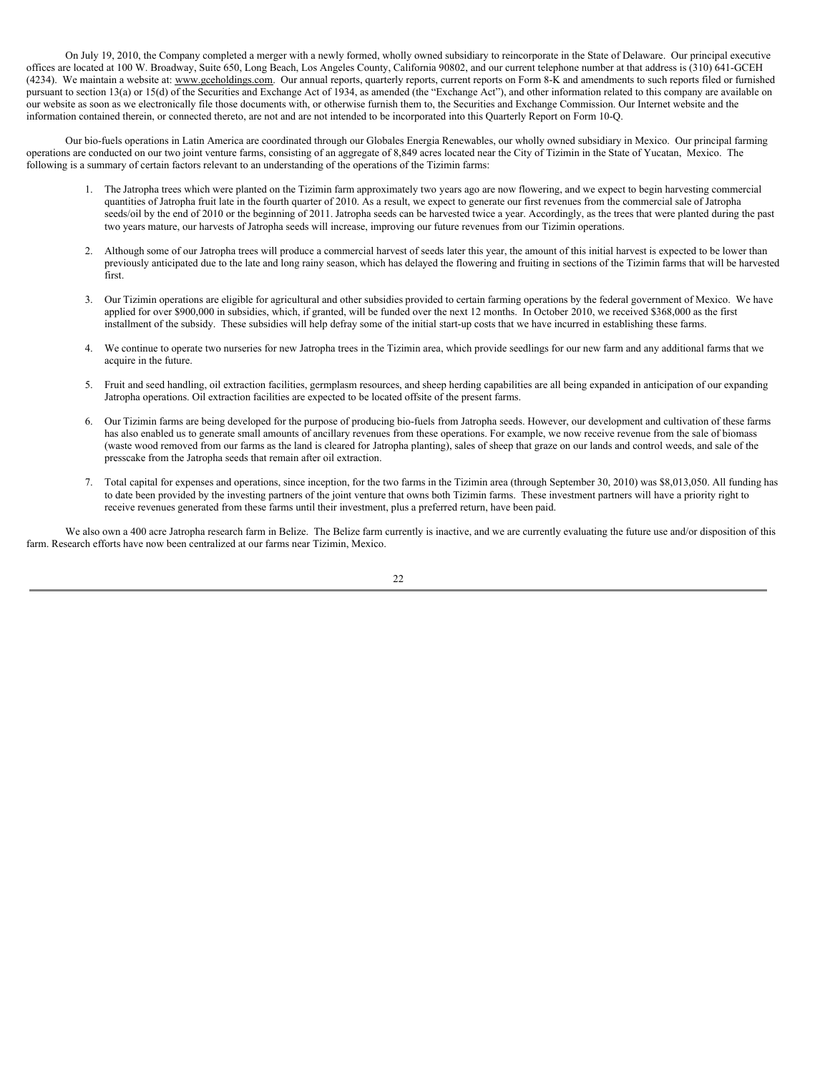On July 19, 2010, the Company completed a merger with a newly formed, wholly owned subsidiary to reincorporate in the State of Delaware. Our principal executive offices are located at 100 W. Broadway, Suite 650, Long Beach, Los Angeles County, California 90802, and our current telephone number at that address is (310) 641-GCEH (4234). We maintain a website at: www.gceholdings.com. Our annual reports, quarterly reports, current reports on Form 8-K and amendments to such reports filed or furnished pursuant to section 13(a) or 15(d) of the Securities and Exchange Act of 1934, as amended (the "Exchange Act"), and other information related to this company are available on our website as soon as we electronically file those documents with, or otherwise furnish them to, the Securities and Exchange Commission. Our Internet website and the information contained therein, or connected thereto, are not and are not intended to be incorporated into this Quarterly Report on Form 10-Q.

Our bio-fuels operations in Latin America are coordinated through our Globales Energia Renewables, our wholly owned subsidiary in Mexico. Our principal farming operations are conducted on our two joint venture farms, consisting of an aggregate of 8,849 acres located near the City of Tizimin in the State of Yucatan, Mexico. The following is a summary of certain factors relevant to an understanding of the operations of the Tizimin farms:

- 1. The Jatropha trees which were planted on the Tizimin farm approximately two years ago are now flowering, and we expect to begin harvesting commercial quantities of Jatropha fruit late in the fourth quarter of 2010. As a result, we expect to generate our first revenues from the commercial sale of Jatropha seeds/oil by the end of 2010 or the beginning of 2011. Jatropha seeds can be harvested twice a year. Accordingly, as the trees that were planted during the past two years mature, our harvests of Jatropha seeds will increase, improving our future revenues from our Tizimin operations.
- 2. Although some of our Jatropha trees will produce a commercial harvest of seeds later this year, the amount of this initial harvest is expected to be lower than previously anticipated due to the late and long rainy season, which has delayed the flowering and fruiting in sections of the Tizimin farms that will be harvested first.
- 3. Our Tizimin operations are eligible for agricultural and other subsidies provided to certain farming operations by the federal government of Mexico. We have applied for over \$900,000 in subsidies, which, if granted, will be funded over the next 12 months. In October 2010, we received \$368,000 as the first installment of the subsidy. These subsidies will help defray some of the initial start-up costs that we have incurred in establishing these farms.
- 4. We continue to operate two nurseries for new Jatropha trees in the Tizimin area, which provide seedlings for our new farm and any additional farms that we acquire in the future.
- 5. Fruit and seed handling, oil extraction facilities, germplasm resources, and sheep herding capabilities are all being expanded in anticipation of our expanding Jatropha operations. Oil extraction facilities are expected to be located offsite of the present farms.
- 6. Our Tizimin farms are being developed for the purpose of producing bio-fuels from Jatropha seeds. However, our development and cultivation of these farms has also enabled us to generate small amounts of ancillary revenues from these operations. For example, we now receive revenue from the sale of biomass (waste wood removed from our farms as the land is cleared for Jatropha planting), sales of sheep that graze on our lands and control weeds, and sale of the presscake from the Jatropha seeds that remain after oil extraction.
- 7. Total capital for expenses and operations, since inception, for the two farms in the Tizimin area (through September 30, 2010) was \$8,013,050. All funding has to date been provided by the investing partners of the joint venture that owns both Tizimin farms. These investment partners will have a priority right to receive revenues generated from these farms until their investment, plus a preferred return, have been paid.

We also own a 400 acre Jatropha research farm in Belize. The Belize farm currently is inactive, and we are currently evaluating the future use and/or disposition of this farm. Research efforts have now been centralized at our farms near Tizimin, Mexico.

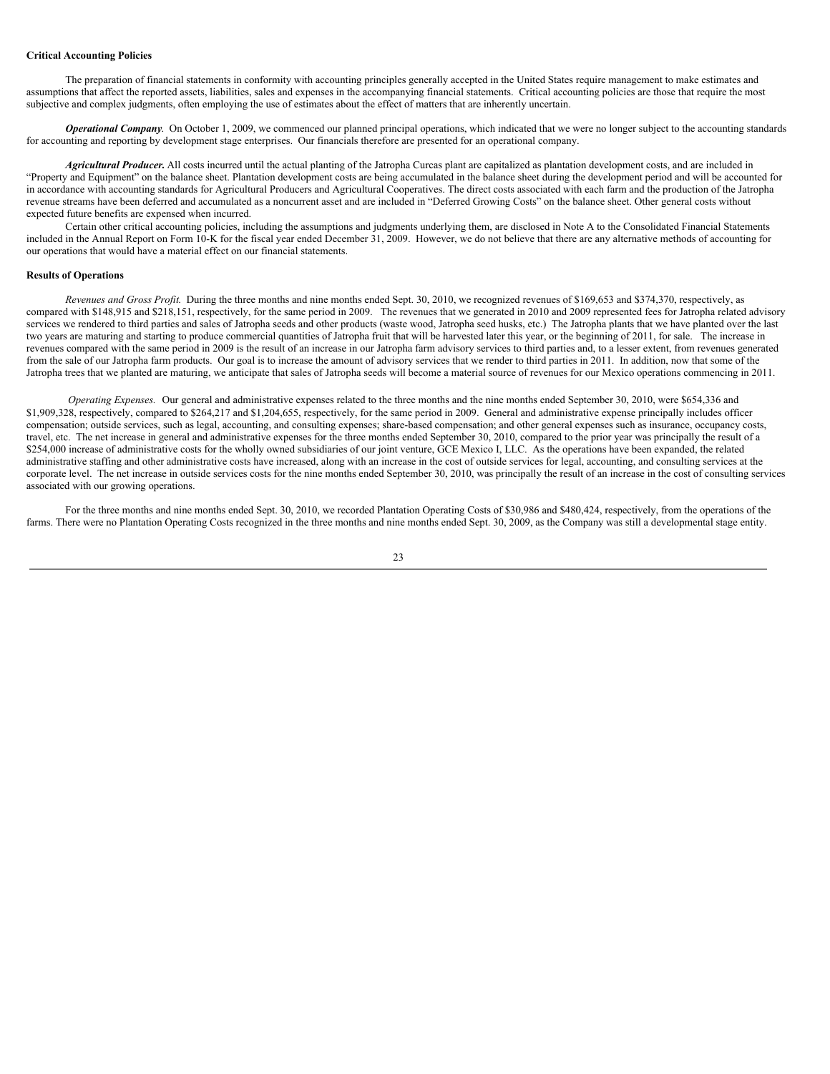#### **Critical Accounting Policies**

The preparation of financial statements in conformity with accounting principles generally accepted in the United States require management to make estimates and assumptions that affect the reported assets, liabilities, sales and expenses in the accompanying financial statements. Critical accounting policies are those that require the most subjective and complex judgments, often employing the use of estimates about the effect of matters that are inherently uncertain.

*Operational Company*. On October 1, 2009, we commenced our planned principal operations, which indicated that we were no longer subject to the accounting standards for accounting and reporting by development stage enterprises. Our financials therefore are presented for an operational company.

*Agricultural Producer.* All costs incurred until the actual planting of the Jatropha Curcas plant are capitalized as plantation development costs, and are included in "Property and Equipment" on the balance sheet. Plantation development costs are being accumulated in the balance sheet during the development period and will be accounted for in accordance with accounting standards for Agricultural Producers and Agricultural Cooperatives. The direct costs associated with each farm and the production of the Jatropha revenue streams have been deferred and accumulated as a noncurrent asset and are included in "Deferred Growing Costs" on the balance sheet. Other general costs without expected future benefits are expensed when incurred.

Certain other critical accounting policies, including the assumptions and judgments underlying them, are disclosed in Note A to the Consolidated Financial Statements included in the Annual Report on Form 10-K for the fiscal year ended December 31, 2009. However, we do not believe that there are any alternative methods of accounting for our operations that would have a material effect on our financial statements.

## **Results of Operations**

*Revenues and Gross Profit*. During the three months and nine months ended Sept. 30, 2010, we recognized revenues of \$169,653 and \$374,370, respectively, as compared with \$148,915 and \$218,151, respectively, for the same period in 2009. The revenues that we generated in 2010 and 2009 represented fees for Jatropha related advisory services we rendered to third parties and sales of Jatropha seeds and other products (waste wood, Jatropha seed husks, etc.) The Jatropha plants that we have planted over the last two years are maturing and starting to produce commercial quantities of Jatropha fruit that will be harvested later this year, or the beginning of 2011, for sale. The increase in revenues compared with the same period in 2009 is the result of an increase in our Jatropha farm advisory services to third parties and, to a lesser extent, from revenues generated from the sale of our Jatropha farm products. Our goal is to increase the amount of advisory services that we render to third parties in 2011. In addition, now that some of the Jatropha trees that we planted are maturing, we anticipate that sales of Jatropha seeds will become a material source of revenues for our Mexico operations commencing in 2011.

*Operating Expenses.* Our general and administrative expenses related to the three months and the nine months ended September 30, 2010, were \$654,336 and \$1,909,328, respectively, compared to \$264,217 and \$1,204,655, respectively, for the same period in 2009. General and administrative expense principally includes officer compensation; outside services, such as legal, accounting, and consulting expenses; share-based compensation; and other general expenses such as insurance, occupancy costs, travel, etc. The net increase in general and administrative expenses for the three months ended September 30, 2010, compared to the prior year was principally the result of a \$254,000 increase of administrative costs for the wholly owned subsidiaries of our joint venture, GCE Mexico I, LLC. As the operations have been expanded, the related administrative staffing and other administrative costs have increased, along with an increase in the cost of outside services for legal, accounting, and consulting services at the corporate level. The net increase in outside services costs for the nine months ended September 30, 2010, was principally the result of an increase in the cost of consulting services associated with our growing operations.

For the three months and nine months ended Sept. 30, 2010, we recorded Plantation Operating Costs of \$30,986 and \$480,424, respectively, from the operations of the farms. There were no Plantation Operating Costs recognized in the three months and nine months ended Sept. 30, 2009, as the Company was still a developmental stage entity.

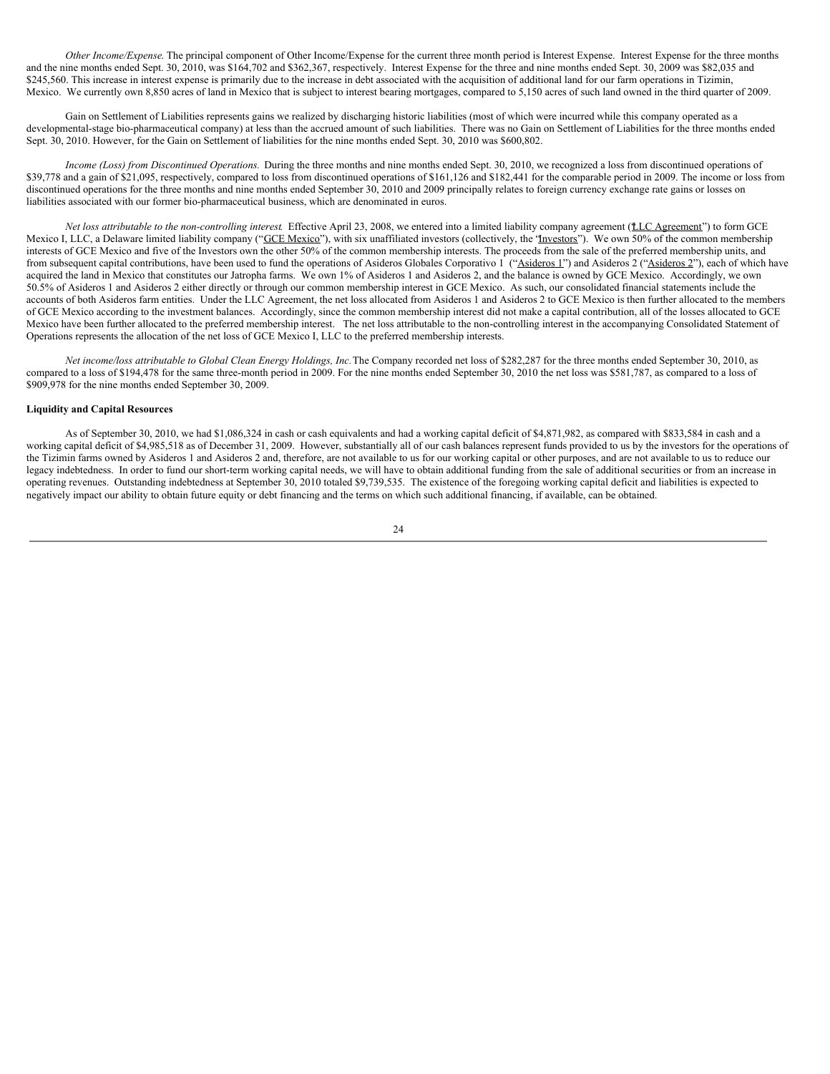*Other Income/Expense*. The principal component of Other Income/Expense for the current three month period is Interest Expense. Interest Expense for the three months and the nine months ended Sept. 30, 2010, was \$164,702 and \$362,367, respectively. Interest Expense for the three and nine months ended Sept. 30, 2009 was \$82,035 and \$245,560. This increase in interest expense is primarily due to the increase in debt associated with the acquisition of additional land for our farm operations in Tizimin, Mexico. We currently own 8,850 acres of land in Mexico that is subject to interest bearing mortgages, compared to 5,150 acres of such land owned in the third quarter of 2009.

Gain on Settlement of Liabilities represents gains we realized by discharging historic liabilities (most of which were incurred while this company operated as a developmental-stage bio-pharmaceutical company) at less than the accrued amount of such liabilities. There was no Gain on Settlement of Liabilities for the three months ended Sept. 30, 2010. However, for the Gain on Settlement of liabilities for the nine months ended Sept. 30, 2010 was \$600,802.

*Income (Loss) from Discontinued Operations.* During the three months and nine months ended Sept. 30, 2010, we recognized a loss from discontinued operations of \$39,778 and a gain of \$21,095, respectively, compared to loss from discontinued operations of \$161,126 and \$182,441 for the comparable period in 2009. The income or loss from discontinued operations for the three months and nine months ended September 30, 2010 and 2009 principally relates to foreign currency exchange rate gains or losses on liabilities associated with our former bio-pharmaceutical business, which are denominated in euros.

*Net loss attributable to the non-controlling interest*. Effective April 23, 2008, we entered into a limited liability company agreement ("LLC Agreement") to form GCE Mexico I, LLC, a Delaware limited liability company ("GCE Mexico"), with six unaffiliated investors (collectively, the 'Investors"). We own 50% of the common membership interests of GCE Mexico and five of the Investors own the other 50% of the common membership interests. The proceeds from the sale of the preferred membership units, and from subsequent capital contributions, have been used to fund the operations of Asideros Globales Corporativo 1 ("Asideros 1") and Asideros 2 ("Asideros 2"), each of which have acquired the land in Mexico that constitutes our Jatropha farms. We own 1% of Asideros 1 and Asideros 2, and the balance is owned by GCE Mexico. Accordingly, we own 50.5% of Asideros 1 and Asideros 2 either directly or through our common membership interest in GCE Mexico. As such, our consolidated financial statements include the accounts of both Asideros farm entities. Under the LLC Agreement, the net loss allocated from Asideros 1 and Asideros 2 to GCE Mexico is then further allocated to the members of GCE Mexico according to the investment balances. Accordingly, since the common membership interest did not make a capital contribution, all of the losses allocated to GCE Mexico have been further allocated to the preferred membership interest. The net loss attributable to the non-controlling interest in the accompanying Consolidated Statement of Operations represents the allocation of the net loss of GCE Mexico I, LLC to the preferred membership interests.

*Net income/loss attributable to Global Clean Energy Holdings, Inc.*The Company recorded net loss of \$282,287 for the three months ended September 30, 2010, as compared to a loss of \$194,478 for the same three-month period in 2009. For the nine months ended September 30, 2010 the net loss was \$581,787, as compared to a loss of \$909,978 for the nine months ended September 30, 2009.

# **Liquidity and Capital Resources**

As of September 30, 2010, we had \$1,086,324 in cash or cash equivalents and had a working capital deficit of \$4,871,982, as compared with \$833,584 in cash and a working capital deficit of \$4,985,518 as of December 31, 2009. However, substantially all of our cash balances represent funds provided to us by the investors for the operations of the Tizimin farms owned by Asideros 1 and Asideros 2 and, therefore, are not available to us for our working capital or other purposes, and are not available to us to reduce our legacy indebtedness. In order to fund our short-term working capital needs, we will have to obtain additional funding from the sale of additional securities or from an increase in operating revenues. Outstanding indebtedness at September 30, 2010 totaled \$9,739,535. The existence of the foregoing working capital deficit and liabilities is expected to negatively impact our ability to obtain future equity or debt financing and the terms on which such additional financing, if available, can be obtained.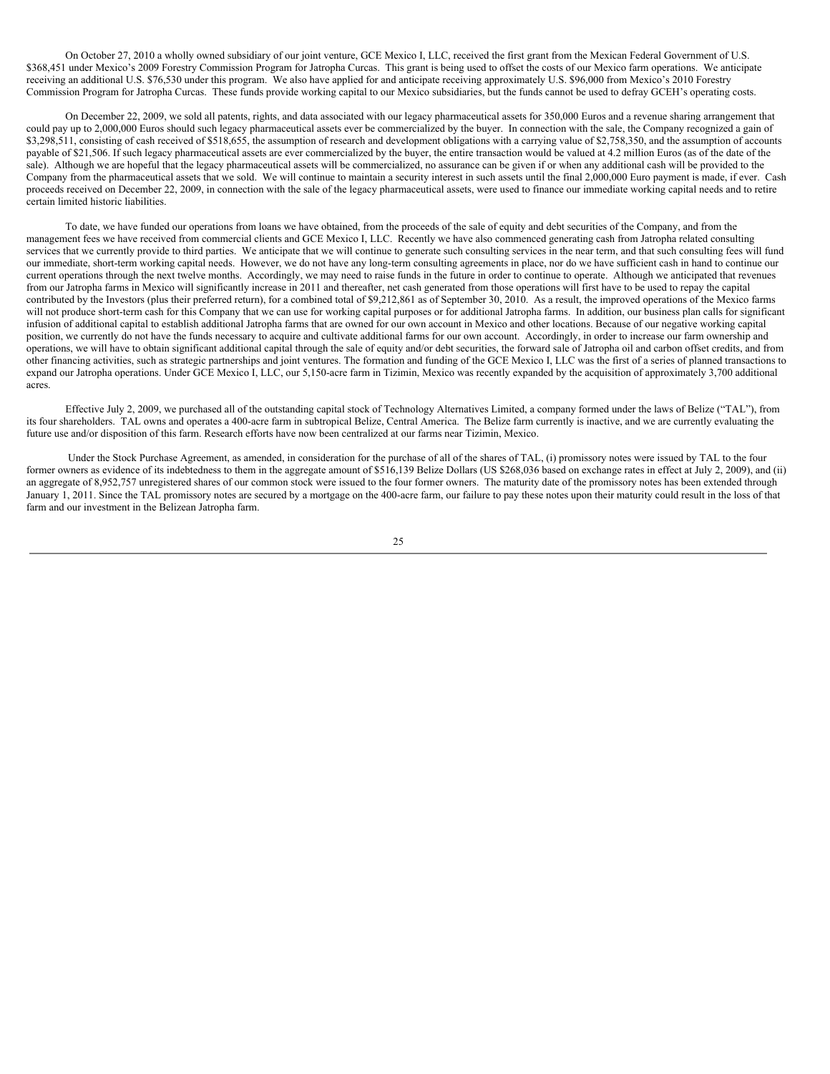On October 27, 2010 a wholly owned subsidiary of our joint venture, GCE Mexico I, LLC, received the first grant from the Mexican Federal Government of U.S. \$368,451 under Mexico's 2009 Forestry Commission Program for Jatropha Curcas. This grant is being used to offset the costs of our Mexico farm operations. We anticipate receiving an additional U.S. \$76,530 under this program. We also have applied for and anticipate receiving approximately U.S. \$96,000 from Mexico's 2010 Forestry Commission Program for Jatropha Curcas. These funds provide working capital to our Mexico subsidiaries, but the funds cannot be used to defray GCEH's operating costs.

On December 22, 2009, we sold all patents, rights, and data associated with our legacy pharmaceutical assets for 350,000 Euros and a revenue sharing arrangement that could pay up to 2,000,000 Euros should such legacy pharmaceutical assets ever be commercialized by the buyer. In connection with the sale, the Company recognized a gain of \$3,298,511, consisting of cash received of \$518,655, the assumption of research and development obligations with a carrying value of \$2,758,350, and the assumption of accounts payable of \$21,506. If such legacy pharmaceutical assets are ever commercialized by the buyer, the entire transaction would be valued at 4.2 million Euros (as of the date of the sale). Although we are hopeful that the legacy pharmaceutical assets will be commercialized, no assurance can be given if or when any additional cash will be provided to the Company from the pharmaceutical assets that we sold. We will continue to maintain a security interest in such assets until the final 2,000,000 Euro payment is made, if ever. Cash proceeds received on December 22, 2009, in connection with the sale of the legacy pharmaceutical assets, were used to finance our immediate working capital needs and to retire certain limited historic liabilities.

To date, we have funded our operations from loans we have obtained, from the proceeds of the sale of equity and debt securities of the Company, and from the management fees we have received from commercial clients and GCE Mexico I, LLC. Recently we have also commenced generating cash from Jatropha related consulting services that we currently provide to third parties. We anticipate that we will continue to generate such consulting services in the near term, and that such consulting fees will fund our immediate, short-term working capital needs. However, we do not have any long-term consulting agreements in place, nor do we have sufficient cash in hand to continue our current operations through the next twelve months. Accordingly, we may need to raise funds in the future in order to continue to operate. Although we anticipated that revenues from our Jatropha farms in Mexico will significantly increase in 2011 and thereafter, net cash generated from those operations will first have to be used to repay the capital contributed by the Investors (plus their preferred return), for a combined total of \$9,212,861 as of September 30, 2010. As a result, the improved operations of the Mexico farms will not produce short-term cash for this Company that we can use for working capital purposes or for additional Jatropha farms. In addition, our business plan calls for significant infusion of additional capital to establish additional Jatropha farms that are owned for our own account in Mexico and other locations. Because of our negative working capital position, we currently do not have the funds necessary to acquire and cultivate additional farms for our own account. Accordingly, in order to increase our farm ownership and operations, we will have to obtain significant additional capital through the sale of equity and/or debt securities, the forward sale of Jatropha oil and carbon offset credits, and from other financing activities, such as strategic partnerships and joint ventures. The formation and funding of the GCE Mexico I, LLC was the first of a series of planned transactions to expand our Jatropha operations. Under GCE Mexico I, LLC, our 5,150-acre farm in Tizimin, Mexico was recently expanded by the acquisition of approximately 3,700 additional acres.

Effective July 2, 2009, we purchased all of the outstanding capital stock of Technology Alternatives Limited, a company formed under the laws of Belize ("TAL"), from its four shareholders. TAL owns and operates a 400-acre farm in subtropical Belize, Central America. The Belize farm currently is inactive, and we are currently evaluating the future use and/or disposition of this farm. Research efforts have now been centralized at our farms near Tizimin, Mexico.

Under the Stock Purchase Agreement, as amended, in consideration for the purchase of all of the shares of TAL, (i) promissory notes were issued by TAL to the four former owners as evidence of its indebtedness to them in the aggregate amount of \$516,139 Belize Dollars (US \$268,036 based on exchange rates in effect at July 2, 2009), and (ii) an aggregate of 8,952,757 unregistered shares of our common stock were issued to the four former owners. The maturity date of the promissory notes has been extended through January 1, 2011. Since the TAL promissory notes are secured by a mortgage on the 400-acre farm, our failure to pay these notes upon their maturity could result in the loss of that farm and our investment in the Belizean Jatropha farm.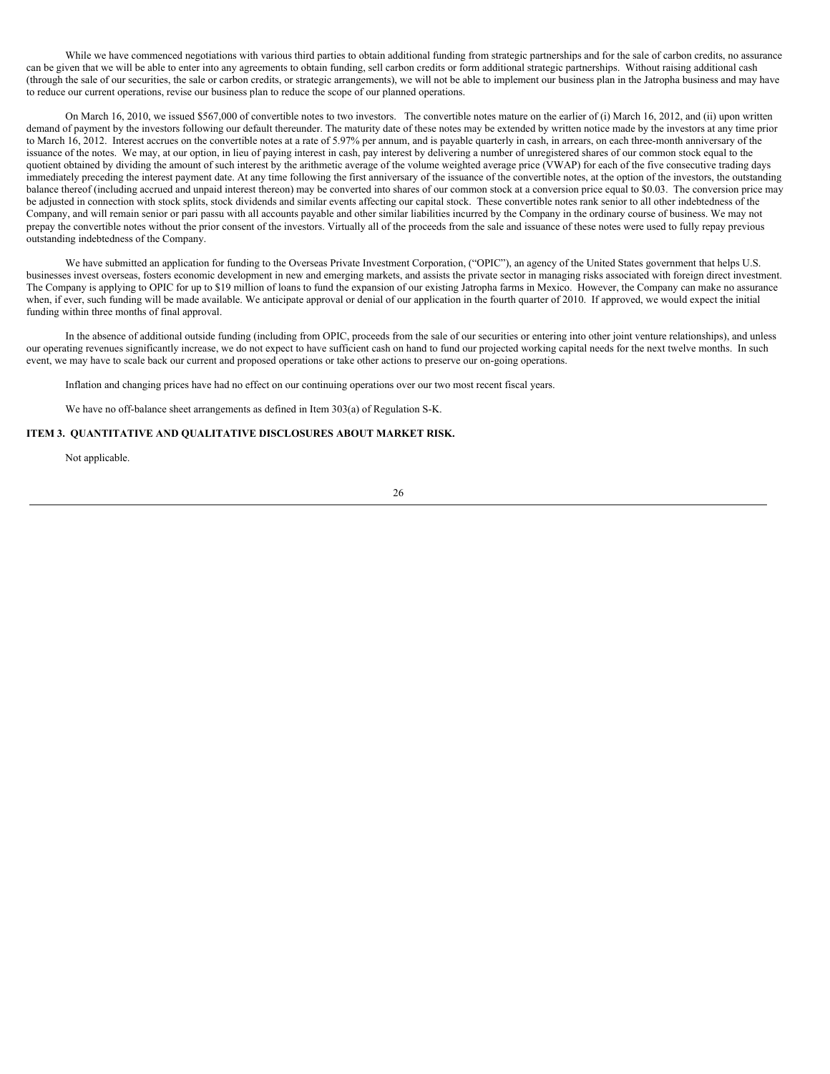While we have commenced negotiations with various third parties to obtain additional funding from strategic partnerships and for the sale of carbon credits, no assurance can be given that we will be able to enter into any agreements to obtain funding, sell carbon credits or form additional strategic partnerships. Without raising additional cash (through the sale of our securities, the sale or carbon credits, or strategic arrangements), we will not be able to implement our business plan in the Jatropha business and may have to reduce our current operations, revise our business plan to reduce the scope of our planned operations.

On March 16, 2010, we issued \$567,000 of convertible notes to two investors. The convertible notes mature on the earlier of (i) March 16, 2012, and (ii) upon written demand of payment by the investors following our default thereunder. The maturity date of these notes may be extended by written notice made by the investors at any time prior to March 16, 2012. Interest accrues on the convertible notes at a rate of 5.97% per annum, and is payable quarterly in cash, in arrears, on each three-month anniversary of the issuance of the notes. We may, at our option, in lieu of paying interest in cash, pay interest by delivering a number of unregistered shares of our common stock equal to the quotient obtained by dividing the amount of such interest by the arithmetic average of the volume weighted average price (VWAP) for each of the five consecutive trading days immediately preceding the interest payment date. At any time following the first anniversary of the issuance of the convertible notes, at the option of the investors, the outstanding balance thereof (including accrued and unpaid interest thereon) may be converted into shares of our common stock at a conversion price equal to \$0.03. The conversion price may be adjusted in connection with stock splits, stock dividends and similar events affecting our capital stock. These convertible notes rank senior to all other indebtedness of the Company, and will remain senior or pari passu with all accounts payable and other similar liabilities incurred by the Company in the ordinary course of business. We may not prepay the convertible notes without the prior consent of the investors. Virtually all of the proceeds from the sale and issuance of these notes were used to fully repay previous outstanding indebtedness of the Company.

We have submitted an application for funding to the Overseas Private Investment Corporation, ("OPIC"), an agency of the United States government that helps U.S. businesses invest overseas, fosters economic development in new and emerging markets, and assists the private sector in managing risks associated with foreign direct investment. The Company is applying to OPIC for up to \$19 million of loans to fund the expansion of our existing Jatropha farms in Mexico. However, the Company can make no assurance when, if ever, such funding will be made available. We anticipate approval or denial of our application in the fourth quarter of 2010. If approved, we would expect the initial funding within three months of final approval.

In the absence of additional outside funding (including from OPIC, proceeds from the sale of our securities or entering into other joint venture relationships), and unless our operating revenues significantly increase, we do not expect to have sufficient cash on hand to fund our projected working capital needs for the next twelve months. In such event, we may have to scale back our current and proposed operations or take other actions to preserve our on-going operations.

Inflation and changing prices have had no effect on our continuing operations over our two most recent fiscal years.

We have no off-balance sheet arrangements as defined in Item 303(a) of Regulation S-K.

## **ITEM 3. QUANTITATIVE AND QUALITATIVE DISCLOSURES ABOUT MARKET RISK.**

Not applicable.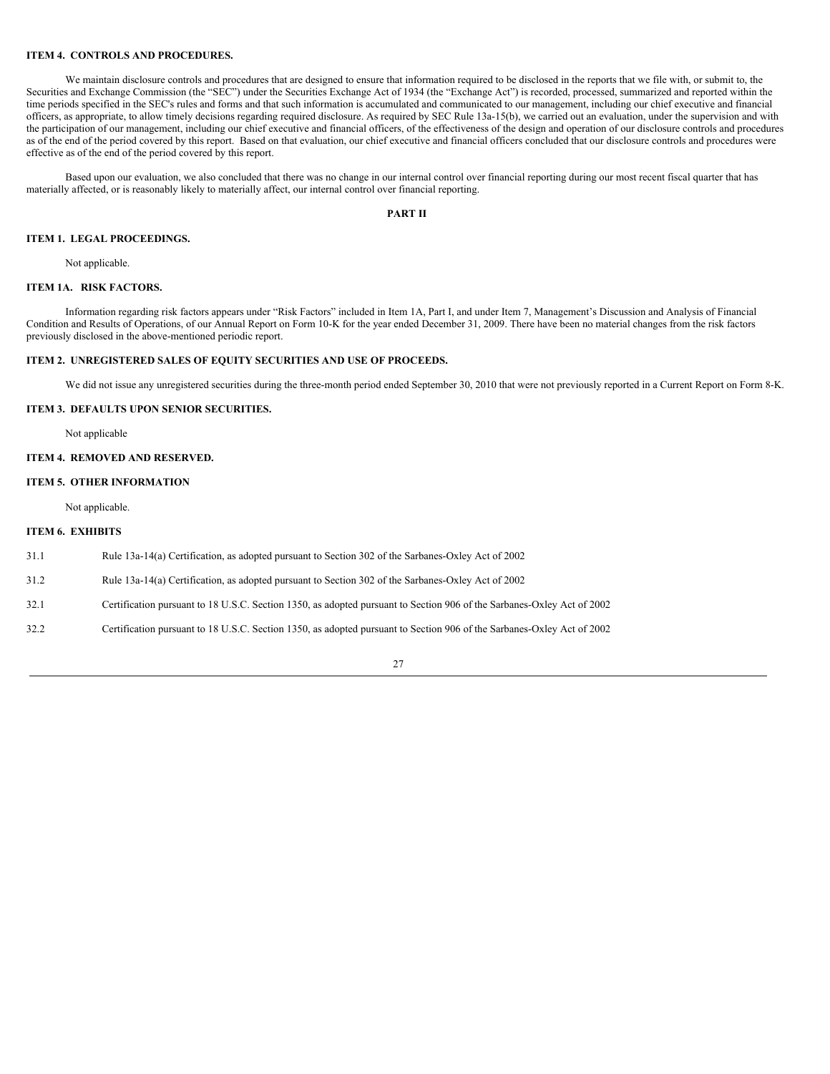# **ITEM 4. CONTROLS AND PROCEDURES.**

We maintain disclosure controls and procedures that are designed to ensure that information required to be disclosed in the reports that we file with, or submit to, the Securities and Exchange Commission (the "SEC") under the Securities Exchange Act of 1934 (the "Exchange Act") is recorded, processed, summarized and reported within the time periods specified in the SEC's rules and forms and that such information is accumulated and communicated to our management, including our chief executive and financial officers, as appropriate, to allow timely decisions regarding required disclosure. As required by SEC Rule 13a-15(b), we carried out an evaluation, under the supervision and with the participation of our management, including our chief executive and financial officers, of the effectiveness of the design and operation of our disclosure controls and procedures as of the end of the period covered by this report. Based on that evaluation, our chief executive and financial officers concluded that our disclosure controls and procedures were effective as of the end of the period covered by this report.

Based upon our evaluation, we also concluded that there was no change in our internal control over financial reporting during our most recent fiscal quarter that has materially affected, or is reasonably likely to materially affect, our internal control over financial reporting.

#### **PART II**

#### **ITEM 1. LEGAL PROCEEDINGS.**

Not applicable.

# **ITEM 1A. RISK FACTORS.**

Information regarding risk factors appears under "Risk Factors" included in Item 1A, Part I, and under Item 7, Management's Discussion and Analysis of Financial Condition and Results of Operations, of our Annual Report on Form 10-K for the year ended December 31, 2009. There have been no material changes from the risk factors previously disclosed in the above-mentioned periodic report.

#### **ITEM 2. UNREGISTERED SALES OF EQUITY SECURITIES AND USE OF PROCEEDS.**

We did not issue any unregistered securities during the three-month period ended September 30, 2010 that were not previously reported in a Current Report on Form 8-K.

# **ITEM 3. DEFAULTS UPON SENIOR SECURITIES.**

Not applicable

#### **ITEM 4. REMOVED AND RESERVED.**

#### **ITEM 5. OTHER INFORMATION**

Not applicable.

# **ITEM 6. EXHIBITS**

| 31.1 | Rule 13a-14(a) Certification, as adopted pursuant to Section 302 of the Sarbanes-Oxley Act of 2002                     |
|------|------------------------------------------------------------------------------------------------------------------------|
| 31.2 | Rule 13a-14(a) Certification, as adopted pursuant to Section 302 of the Sarbanes-Oxley Act of 2002                     |
| 32.1 | Certification pursuant to 18 U.S.C. Section 1350, as adopted pursuant to Section 906 of the Sarbanes-Oxley Act of 2002 |
| 32.2 | Certification pursuant to 18 U.S.C. Section 1350, as adopted pursuant to Section 906 of the Sarbanes-Oxley Act of 2002 |
|      |                                                                                                                        |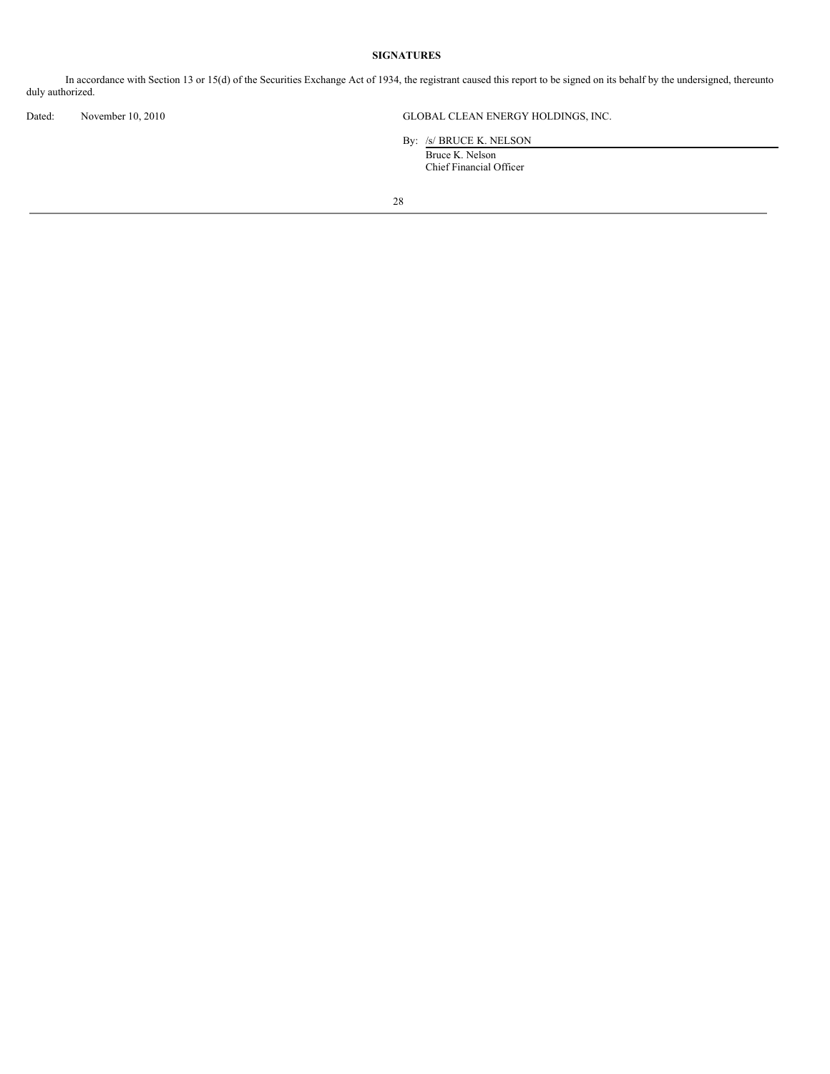# **SIGNATURES**

In accordance with Section 13 or 15(d) of the Securities Exchange Act of 1934, the registrant caused this report to be signed on its behalf by the undersigned, thereunto duly authorized.

Dated: November 10, 2010 GLOBAL CLEAN ENERGY HOLDINGS, INC.

By: /s/ BRUCE K. NELSON

Bruce K. Nelson Chief Financial Officer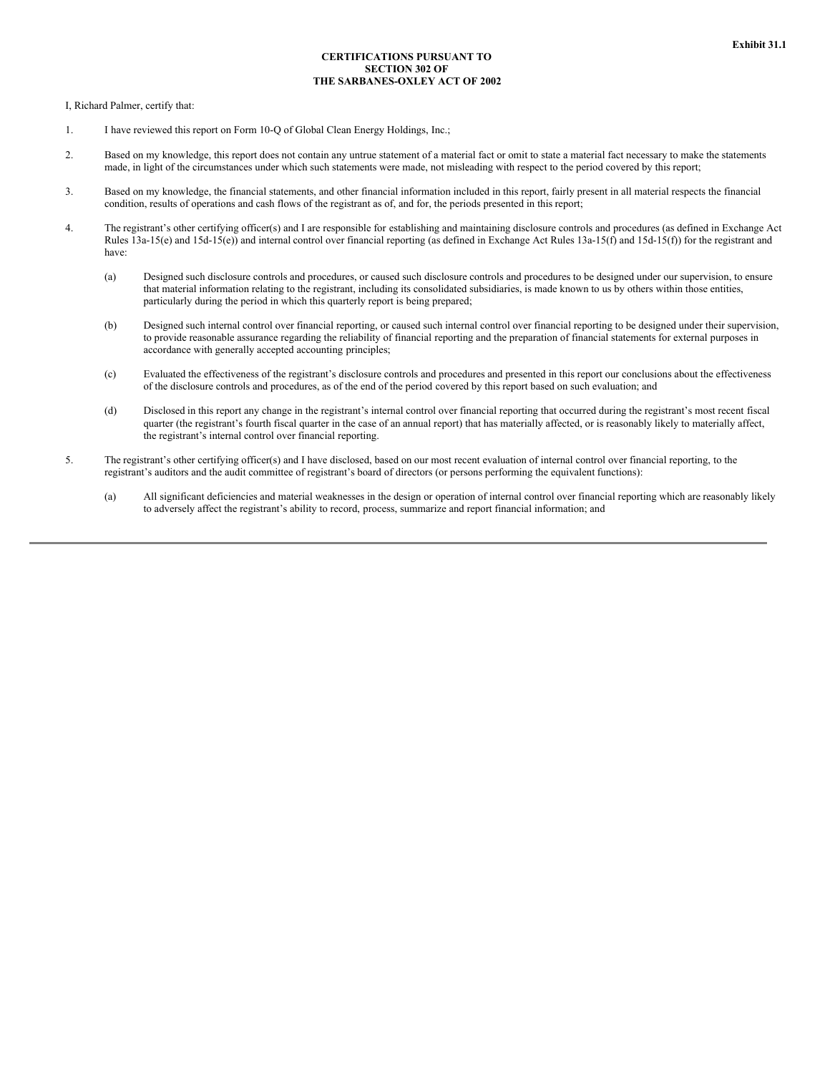## **CERTIFICATIONS PURSUANT TO SECTION 302 OF THE SARBANES-OXLEY ACT OF 2002**

I, Richard Palmer, certify that:

- 1. I have reviewed this report on Form 10-Q of Global Clean Energy Holdings, Inc.;
- 2. Based on my knowledge, this report does not contain any untrue statement of a material fact or omit to state a material fact necessary to make the statements made, in light of the circumstances under which such statements were made, not misleading with respect to the period covered by this report;
- 3. Based on my knowledge, the financial statements, and other financial information included in this report, fairly present in all material respects the financial condition, results of operations and cash flows of the registrant as of, and for, the periods presented in this report;
- 4. The registrant's other certifying officer(s) and I are responsible for establishing and maintaining disclosure controls and procedures (as defined in Exchange Act Rules 13a-15(e) and 15d-15(e)) and internal control over financial reporting (as defined in Exchange Act Rules 13a-15(f) and 15d-15(f)) for the registrant and have:
	- (a) Designed such disclosure controls and procedures, or caused such disclosure controls and procedures to be designed under our supervision, to ensure that material information relating to the registrant, including its consolidated subsidiaries, is made known to us by others within those entities, particularly during the period in which this quarterly report is being prepared;
	- (b) Designed such internal control over financial reporting, or caused such internal control over financial reporting to be designed under their supervision, to provide reasonable assurance regarding the reliability of financial reporting and the preparation of financial statements for external purposes in accordance with generally accepted accounting principles;
	- (c) Evaluated the effectiveness of the registrant's disclosure controls and procedures and presented in this report our conclusions about the effectiveness of the disclosure controls and procedures, as of the end of the period covered by this report based on such evaluation; and
	- (d) Disclosed in this report any change in the registrant's internal control over financial reporting that occurred during the registrant's most recent fiscal quarter (the registrant's fourth fiscal quarter in the case of an annual report) that has materially affected, or is reasonably likely to materially affect, the registrant's internal control over financial reporting.
- 5. The registrant's other certifying officer(s) and I have disclosed, based on our most recent evaluation of internal control over financial reporting, to the registrant's auditors and the audit committee of registrant's board of directors (or persons performing the equivalent functions):
	- (a) All significant deficiencies and material weaknesses in the design or operation of internal control over financial reporting which are reasonably likely to adversely affect the registrant's ability to record, process, summarize and report financial information; and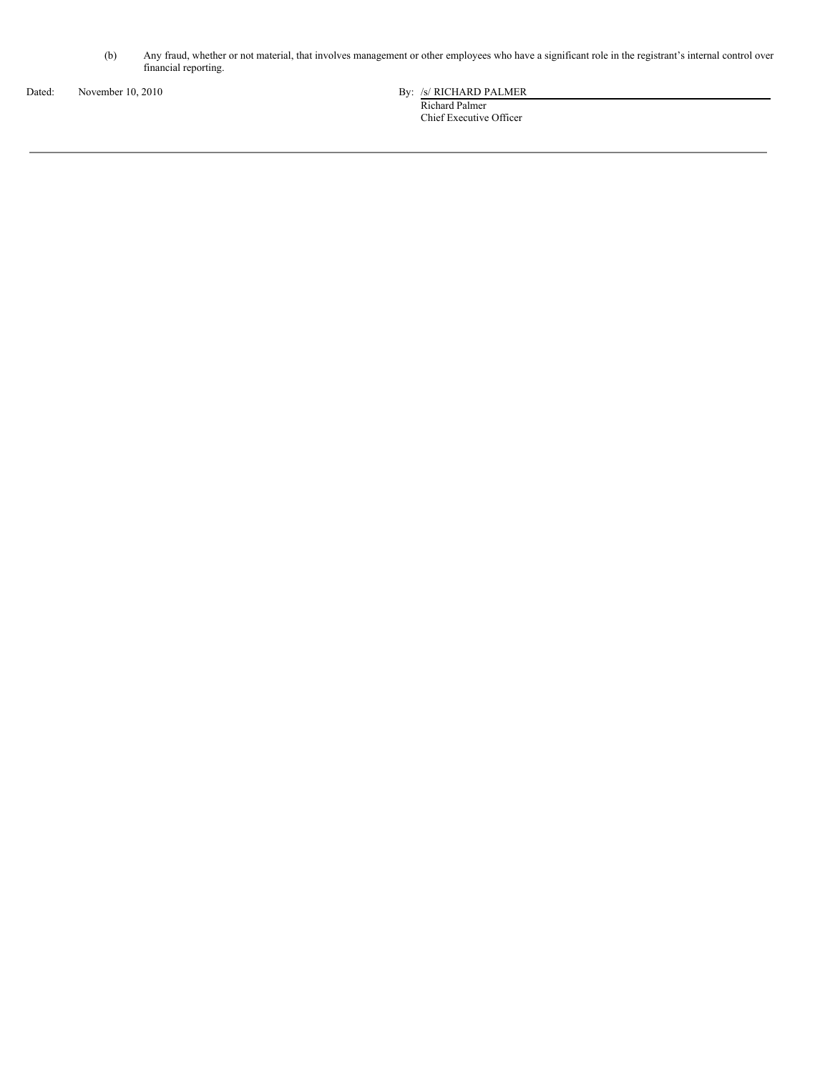(b) Any fraud, whether or not material, that involves management or other employees who have a significant role in the registrant's internal control over financial reporting.

Dated: November 10, 2010 **By:** /s/ RICHARD PALMER

Richard Palmer Chief Executive Officer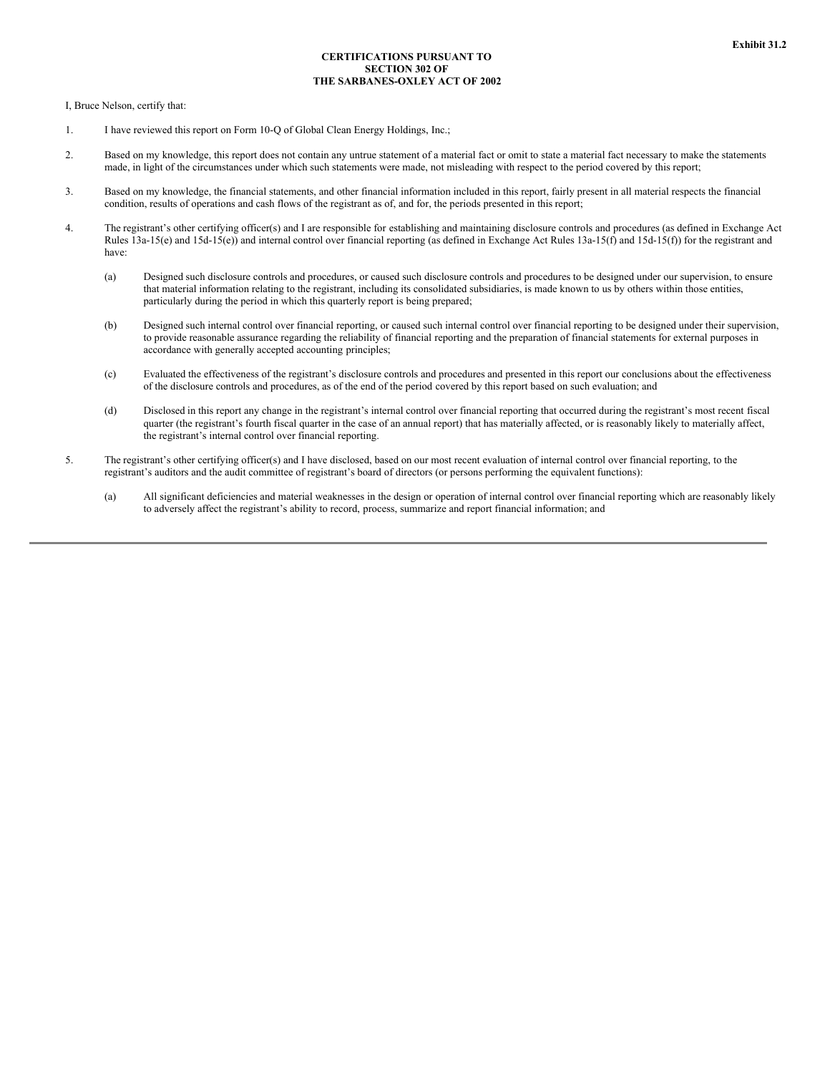## **CERTIFICATIONS PURSUANT TO SECTION 302 OF THE SARBANES-OXLEY ACT OF 2002**

I, Bruce Nelson, certify that:

- 1. I have reviewed this report on Form 10-Q of Global Clean Energy Holdings, Inc.;
- 2. Based on my knowledge, this report does not contain any untrue statement of a material fact or omit to state a material fact necessary to make the statements made, in light of the circumstances under which such statements were made, not misleading with respect to the period covered by this report;
- 3. Based on my knowledge, the financial statements, and other financial information included in this report, fairly present in all material respects the financial condition, results of operations and cash flows of the registrant as of, and for, the periods presented in this report;
- 4. The registrant's other certifying officer(s) and I are responsible for establishing and maintaining disclosure controls and procedures (as defined in Exchange Act Rules 13a-15(e) and 15d-15(e)) and internal control over financial reporting (as defined in Exchange Act Rules 13a-15(f) and 15d-15(f)) for the registrant and have:
	- (a) Designed such disclosure controls and procedures, or caused such disclosure controls and procedures to be designed under our supervision, to ensure that material information relating to the registrant, including its consolidated subsidiaries, is made known to us by others within those entities, particularly during the period in which this quarterly report is being prepared;
	- (b) Designed such internal control over financial reporting, or caused such internal control over financial reporting to be designed under their supervision, to provide reasonable assurance regarding the reliability of financial reporting and the preparation of financial statements for external purposes in accordance with generally accepted accounting principles;
	- (c) Evaluated the effectiveness of the registrant's disclosure controls and procedures and presented in this report our conclusions about the effectiveness of the disclosure controls and procedures, as of the end of the period covered by this report based on such evaluation; and
	- (d) Disclosed in this report any change in the registrant's internal control over financial reporting that occurred during the registrant's most recent fiscal quarter (the registrant's fourth fiscal quarter in the case of an annual report) that has materially affected, or is reasonably likely to materially affect, the registrant's internal control over financial reporting.
- 5. The registrant's other certifying officer(s) and I have disclosed, based on our most recent evaluation of internal control over financial reporting, to the registrant's auditors and the audit committee of registrant's board of directors (or persons performing the equivalent functions):
	- (a) All significant deficiencies and material weaknesses in the design or operation of internal control over financial reporting which are reasonably likely to adversely affect the registrant's ability to record, process, summarize and report financial information; and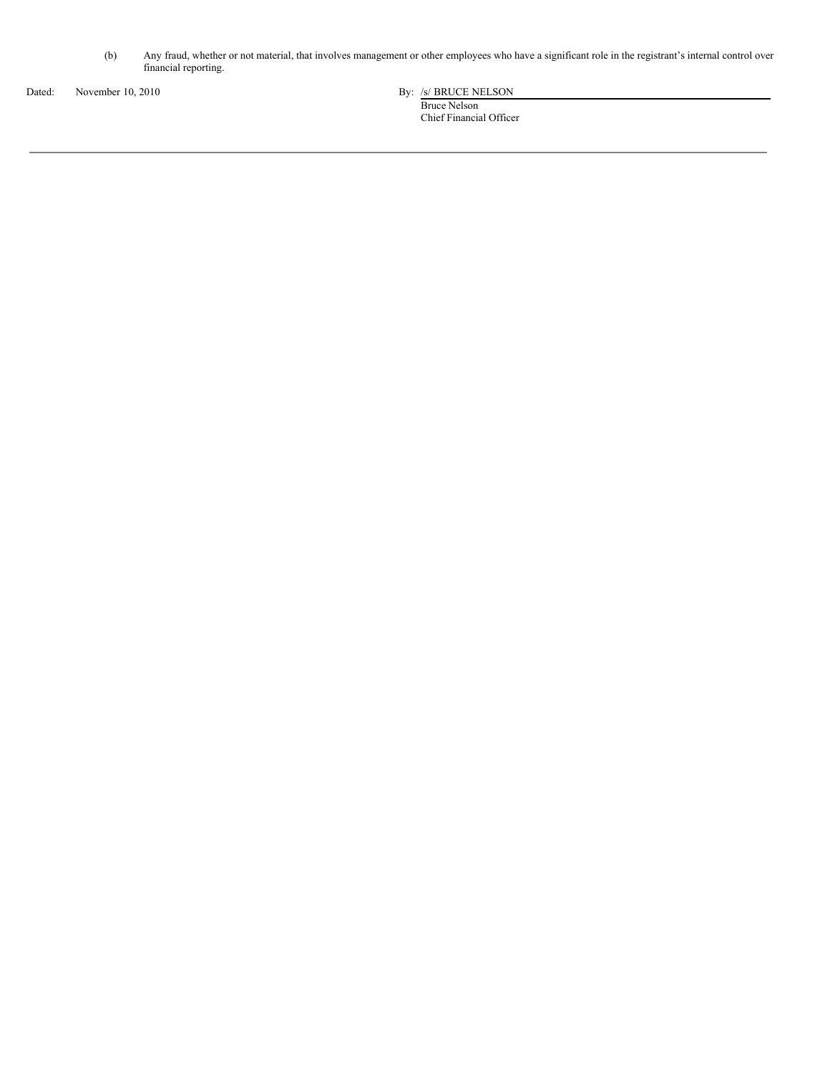(b) Any fraud, whether or not material, that involves management or other employees who have a significant role in the registrant's internal control over financial reporting.

Dated: November 10, 2010 By: /s/ BRUCE NELSON

Bruce Nelson Chief Financial Officer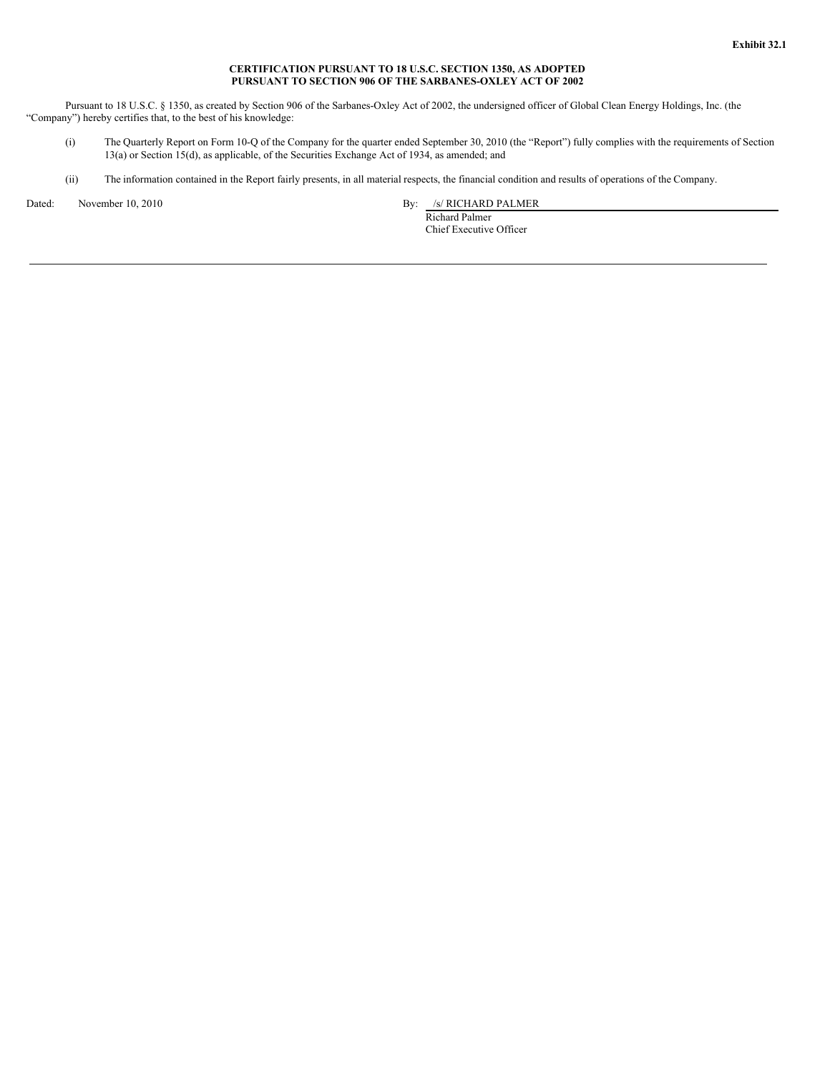## **CERTIFICATION PURSUANT TO 18 U.S.C. SECTION 1350, AS ADOPTED PURSUANT TO SECTION 906 OF THE SARBANES-OXLEY ACT OF 2002**

Pursuant to 18 U.S.C. § 1350, as created by Section 906 of the Sarbanes-Oxley Act of 2002, the undersigned officer of Global Clean Energy Holdings, Inc. (the "Company") hereby certifies that, to the best of his knowledge:

- (i) The Quarterly Report on Form 10-Q of the Company for the quarter ended September 30, 2010 (the "Report") fully complies with the requirements of Section 13(a) or Section 15(d), as applicable, of the Securities Exchange Act of 1934, as amended; and
- (ii) The information contained in the Report fairly presents, in all material respects, the financial condition and results of operations of the Company.

Dated: November 10, 2010 By: /s/ RICHARD PALMER

Richard Palmer Chief Executive Officer